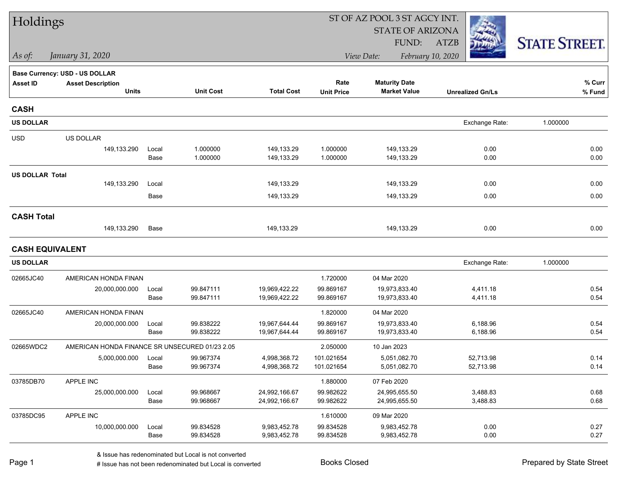| Holdings               |                                                |       |                  |                   |                   | ST OF AZ POOL 3 ST AGCY INT. |                         |                      |  |
|------------------------|------------------------------------------------|-------|------------------|-------------------|-------------------|------------------------------|-------------------------|----------------------|--|
|                        |                                                |       |                  |                   |                   | <b>STATE OF ARIZONA</b>      |                         |                      |  |
|                        |                                                |       |                  |                   |                   | FUND:                        | <b>ATZB</b>             | <b>STATE STREET.</b> |  |
| As of:                 | January 31, 2020                               |       |                  |                   |                   | View Date:                   | February 10, 2020       |                      |  |
|                        | Base Currency: USD - US DOLLAR                 |       |                  |                   |                   |                              |                         |                      |  |
| <b>Asset ID</b>        | <b>Asset Description</b>                       |       |                  |                   | Rate              | <b>Maturity Date</b>         |                         | % Curr               |  |
|                        | <b>Units</b>                                   |       | <b>Unit Cost</b> | <b>Total Cost</b> | <b>Unit Price</b> | <b>Market Value</b>          | <b>Unrealized Gn/Ls</b> | % Fund               |  |
| <b>CASH</b>            |                                                |       |                  |                   |                   |                              |                         |                      |  |
| <b>US DOLLAR</b>       |                                                |       |                  |                   |                   |                              | Exchange Rate:          | 1.000000             |  |
| <b>USD</b>             | US DOLLAR                                      |       |                  |                   |                   |                              |                         |                      |  |
|                        | 149,133.290                                    | Local | 1.000000         | 149,133.29        | 1.000000          | 149,133.29                   | 0.00                    | 0.00                 |  |
|                        |                                                | Base  | 1.000000         | 149,133.29        | 1.000000          | 149,133.29                   | 0.00                    | 0.00                 |  |
| <b>US DOLLAR Total</b> |                                                |       |                  |                   |                   |                              |                         |                      |  |
|                        | 149,133.290                                    | Local |                  | 149,133.29        |                   | 149,133.29                   | 0.00                    | 0.00                 |  |
|                        |                                                | Base  |                  | 149,133.29        |                   | 149,133.29                   | 0.00                    | 0.00                 |  |
| <b>CASH Total</b>      |                                                |       |                  |                   |                   |                              |                         |                      |  |
|                        | 149,133.290                                    | Base  |                  | 149,133.29        |                   | 149,133.29                   | 0.00                    | 0.00                 |  |
| <b>CASH EQUIVALENT</b> |                                                |       |                  |                   |                   |                              |                         |                      |  |
| <b>US DOLLAR</b>       |                                                |       |                  |                   |                   |                              | Exchange Rate:          | 1.000000             |  |
| 02665JC40              | AMERICAN HONDA FINAN                           |       |                  |                   | 1.720000          | 04 Mar 2020                  |                         |                      |  |
|                        | 20,000,000.000                                 | Local | 99.847111        | 19,969,422.22     | 99.869167         | 19,973,833.40                | 4,411.18                | 0.54                 |  |
|                        |                                                | Base  | 99.847111        | 19,969,422.22     | 99.869167         | 19,973,833.40                | 4,411.18                | 0.54                 |  |
| 02665JC40              | AMERICAN HONDA FINAN                           |       |                  |                   | 1.820000          | 04 Mar 2020                  |                         |                      |  |
|                        | 20,000,000.000                                 | Local | 99.838222        | 19,967,644.44     | 99.869167         | 19,973,833.40                | 6,188.96                | 0.54                 |  |
|                        |                                                | Base  | 99.838222        | 19,967,644.44     | 99.869167         | 19,973,833.40                | 6,188.96                | 0.54                 |  |
| 02665WDC2              | AMERICAN HONDA FINANCE SR UNSECURED 01/23 2.05 |       |                  |                   | 2.050000          | 10 Jan 2023                  |                         |                      |  |
|                        | 5,000,000.000                                  | Local | 99.967374        | 4,998,368.72      | 101.021654        | 5,051,082.70                 | 52,713.98               | 0.14                 |  |
|                        |                                                | Base  | 99.967374        | 4,998,368.72      | 101.021654        | 5,051,082.70                 | 52,713.98               | 0.14                 |  |
| 03785DB70              | APPLE INC                                      |       |                  |                   | 1.880000          | 07 Feb 2020                  |                         |                      |  |
|                        | 25,000,000.000                                 | Local | 99.968667        | 24,992,166.67     | 99.982622         | 24,995,655.50                | 3,488.83                | 0.68                 |  |
|                        |                                                | Base  | 99.968667        | 24,992,166.67     | 99.982622         | 24,995,655.50                | 3,488.83                | 0.68                 |  |
| 03785DC95              | APPLE INC                                      |       |                  |                   | 1.610000          | 09 Mar 2020                  |                         |                      |  |
|                        | 10,000,000.000                                 | Local | 99.834528        | 9,983,452.78      | 99.834528         | 9,983,452.78                 | 0.00                    | 0.27                 |  |
|                        |                                                | Base  | 99.834528        | 9,983,452.78      | 99.834528         | 9,983,452.78                 | 0.00                    | 0.27                 |  |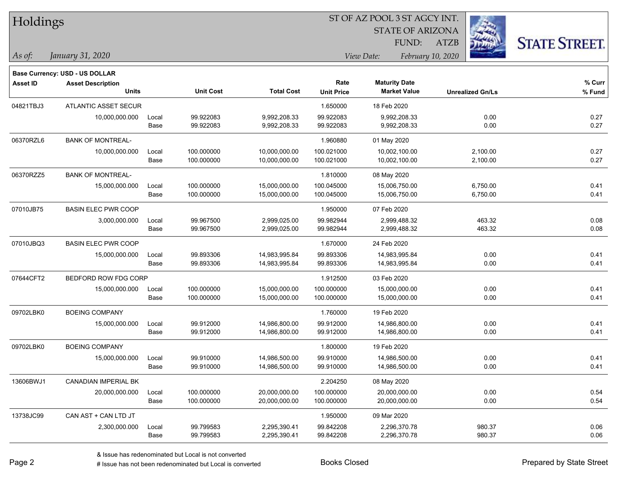|  | <b>Holdings</b> |
|--|-----------------|
|--|-----------------|

STATE OF ARIZONA FUND:

ATZB



*As of: View Date: February 10, 2020*

| As of: | January 31, 2020 |  |
|--------|------------------|--|
|        |                  |  |

|                 | <b>Base Currency: USD - US DOLLAR</b>    |               |                          |                                |                           |                                             |                         |                  |
|-----------------|------------------------------------------|---------------|--------------------------|--------------------------------|---------------------------|---------------------------------------------|-------------------------|------------------|
| <b>Asset ID</b> | <b>Asset Description</b><br><b>Units</b> |               | <b>Unit Cost</b>         | <b>Total Cost</b>              | Rate<br><b>Unit Price</b> | <b>Maturity Date</b><br><b>Market Value</b> | <b>Unrealized Gn/Ls</b> | % Curr<br>% Fund |
| 04821TBJ3       | <b>ATLANTIC ASSET SECUR</b>              |               |                          |                                | 1.650000                  | 18 Feb 2020                                 |                         |                  |
|                 | 10,000,000.000                           | Local<br>Base | 99.922083<br>99.922083   | 9,992,208.33<br>9,992,208.33   | 99.922083<br>99.922083    | 9,992,208.33<br>9,992,208.33                | 0.00<br>0.00            | 0.27<br>0.27     |
| 06370RZL6       | <b>BANK OF MONTREAL-</b>                 |               |                          |                                | 1.960880                  | 01 May 2020                                 |                         |                  |
|                 | 10,000,000.000                           | Local<br>Base | 100.000000<br>100.000000 | 10,000,000.00<br>10,000,000.00 | 100.021000<br>100.021000  | 10,002,100.00<br>10,002,100.00              | 2,100.00<br>2,100.00    | 0.27<br>0.27     |
| 06370RZZ5       | <b>BANK OF MONTREAL-</b>                 |               |                          |                                | 1.810000                  | 08 May 2020                                 |                         |                  |
|                 | 15,000,000.000                           | Local<br>Base | 100.000000<br>100.000000 | 15,000,000.00<br>15,000,000.00 | 100.045000<br>100.045000  | 15,006,750.00<br>15,006,750.00              | 6,750.00<br>6,750.00    | 0.41<br>0.41     |
| 07010JB75       | <b>BASIN ELEC PWR COOP</b>               |               |                          |                                | 1.950000                  | 07 Feb 2020                                 |                         |                  |
|                 | 3,000,000.000                            | Local<br>Base | 99.967500<br>99.967500   | 2,999,025.00<br>2,999,025.00   | 99.982944<br>99.982944    | 2,999,488.32<br>2,999,488.32                | 463.32<br>463.32        | 0.08<br>0.08     |
| 07010JBQ3       | <b>BASIN ELEC PWR COOP</b>               |               |                          |                                | 1.670000                  | 24 Feb 2020                                 |                         |                  |
|                 | 15,000,000.000                           | Local         | 99.893306                | 14,983,995.84                  | 99.893306                 | 14,983,995.84                               | 0.00                    | 0.41             |
|                 |                                          | Base          | 99.893306                | 14,983,995.84                  | 99.893306                 | 14,983,995.84                               | 0.00                    | 0.41             |
| 07644CFT2       | BEDFORD ROW FDG CORP                     |               |                          |                                | 1.912500                  | 03 Feb 2020                                 |                         |                  |
|                 | 15,000,000.000                           | Local<br>Base | 100.000000<br>100.000000 | 15,000,000.00<br>15,000,000.00 | 100.000000<br>100.000000  | 15,000,000.00<br>15,000,000.00              | 0.00<br>0.00            | 0.41<br>0.41     |
| 09702LBK0       | <b>BOEING COMPANY</b>                    |               |                          |                                | 1.760000                  | 19 Feb 2020                                 |                         |                  |
|                 | 15,000,000.000                           | Local<br>Base | 99.912000<br>99.912000   | 14,986,800.00<br>14,986,800.00 | 99.912000<br>99.912000    | 14,986,800.00<br>14,986,800.00              | 0.00<br>0.00            | 0.41<br>0.41     |
| 09702LBK0       | <b>BOEING COMPANY</b>                    |               |                          |                                | 1.800000                  | 19 Feb 2020                                 |                         |                  |
|                 | 15,000,000.000                           | Local<br>Base | 99.910000<br>99.910000   | 14,986,500.00<br>14,986,500.00 | 99.910000<br>99.910000    | 14,986,500.00<br>14,986,500.00              | 0.00<br>0.00            | 0.41<br>0.41     |
| 13606BWJ1       | <b>CANADIAN IMPERIAL BK</b>              |               |                          |                                | 2.204250                  | 08 May 2020                                 |                         |                  |
|                 | 20,000,000.000                           | Local<br>Base | 100.000000<br>100.000000 | 20,000,000.00<br>20,000,000.00 | 100.000000<br>100.000000  | 20,000,000.00<br>20,000,000.00              | 0.00<br>0.00            | 0.54<br>0.54     |
| 13738JC99       | CAN AST + CAN LTD JT                     |               |                          |                                | 1.950000                  | 09 Mar 2020                                 |                         |                  |
|                 | 2,300,000.000                            | Local<br>Base | 99.799583<br>99.799583   | 2,295,390.41<br>2,295,390.41   | 99.842208<br>99.842208    | 2,296,370.78<br>2,296,370.78                | 980.37<br>980.37        | 0.06<br>0.06     |
|                 |                                          |               |                          |                                |                           |                                             |                         |                  |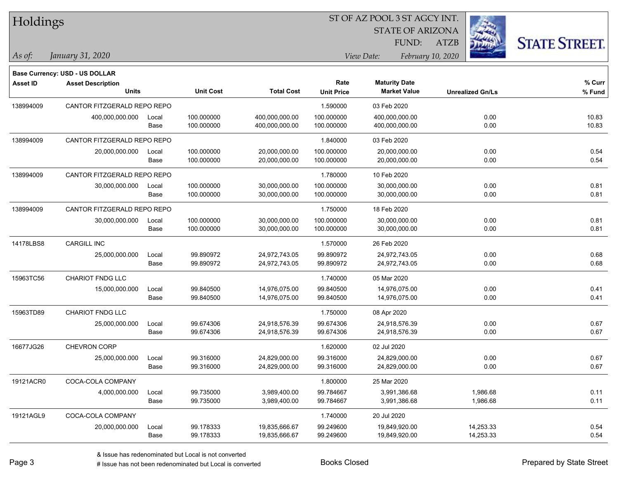|  | <b>Holdings</b> |
|--|-----------------|
|  |                 |

STATE OF ARIZONA

ATZB



**Base Currency: USD - US DOLLAR**

| <b>Asset ID</b> | <b>Asset Description</b><br><b>Units</b> |               | <b>Unit Cost</b>         | <b>Total Cost</b>                | Rate<br><b>Unit Price</b> | <b>Maturity Date</b><br><b>Market Value</b> | <b>Unrealized Gn/Ls</b> | % Curr<br>% Fund |
|-----------------|------------------------------------------|---------------|--------------------------|----------------------------------|---------------------------|---------------------------------------------|-------------------------|------------------|
| 138994009       | CANTOR FITZGERALD REPO REPO              |               |                          |                                  | 1.590000                  | 03 Feb 2020                                 |                         |                  |
|                 | 400,000,000.000                          | Local<br>Base | 100.000000<br>100.000000 | 400,000,000.00<br>400,000,000.00 | 100.000000<br>100.000000  | 400,000,000.00<br>400,000,000.00            | 0.00<br>0.00            | 10.83<br>10.83   |
| 138994009       | CANTOR FITZGERALD REPO REPO              |               |                          |                                  | 1.840000                  | 03 Feb 2020                                 |                         |                  |
|                 | 20,000,000.000                           | Local<br>Base | 100.000000<br>100.000000 | 20,000,000.00<br>20,000,000.00   | 100.000000<br>100.000000  | 20,000,000.00<br>20,000,000.00              | 0.00<br>0.00            | 0.54<br>0.54     |
| 138994009       | CANTOR FITZGERALD REPO REPO              |               |                          |                                  | 1.780000                  | 10 Feb 2020                                 |                         |                  |
|                 | 30,000,000.000                           | Local<br>Base | 100.000000<br>100.000000 | 30,000,000.00<br>30,000,000.00   | 100.000000<br>100.000000  | 30,000,000.00<br>30,000,000.00              | 0.00<br>0.00            | 0.81<br>0.81     |
| 138994009       | CANTOR FITZGERALD REPO REPO              |               |                          |                                  | 1.750000                  | 18 Feb 2020                                 |                         |                  |
|                 | 30,000,000.000                           | Local<br>Base | 100.000000<br>100.000000 | 30,000,000.00<br>30,000,000.00   | 100.000000<br>100.000000  | 30,000,000.00<br>30,000,000.00              | 0.00<br>0.00            | 0.81<br>0.81     |
| 14178LBS8       | <b>CARGILL INC</b>                       |               |                          |                                  | 1.570000                  | 26 Feb 2020                                 |                         |                  |
|                 | 25,000,000.000                           | Local<br>Base | 99.890972<br>99.890972   | 24,972,743.05<br>24,972,743.05   | 99.890972<br>99.890972    | 24,972,743.05<br>24,972,743.05              | 0.00<br>0.00            | 0.68<br>0.68     |
| 15963TC56       | CHARIOT FNDG LLC                         |               |                          |                                  | 1.740000                  | 05 Mar 2020                                 |                         |                  |
|                 | 15,000,000.000                           | Local<br>Base | 99.840500<br>99.840500   | 14,976,075.00<br>14,976,075.00   | 99.840500<br>99.840500    | 14,976,075.00<br>14,976,075.00              | 0.00<br>0.00            | 0.41<br>0.41     |
| 15963TD89       | <b>CHARIOT FNDG LLC</b>                  |               |                          |                                  | 1.750000                  | 08 Apr 2020                                 |                         |                  |
|                 | 25,000,000.000                           | Local<br>Base | 99.674306<br>99.674306   | 24,918,576.39<br>24,918,576.39   | 99.674306<br>99.674306    | 24,918,576.39<br>24,918,576.39              | 0.00<br>0.00            | 0.67<br>0.67     |
| 16677JG26       | CHEVRON CORP                             |               |                          |                                  | 1.620000                  | 02 Jul 2020                                 |                         |                  |
|                 | 25,000,000.000                           | Local<br>Base | 99.316000<br>99.316000   | 24,829,000.00<br>24,829,000.00   | 99.316000<br>99.316000    | 24,829,000.00<br>24,829,000.00              | 0.00<br>0.00            | 0.67<br>0.67     |
| 19121ACR0       | COCA-COLA COMPANY                        |               |                          |                                  | 1.800000                  | 25 Mar 2020                                 |                         |                  |
|                 | 4,000,000.000                            | Local<br>Base | 99.735000<br>99.735000   | 3,989,400.00<br>3,989,400.00     | 99.784667<br>99.784667    | 3,991,386.68<br>3,991,386.68                | 1,986.68<br>1,986.68    | 0.11<br>0.11     |
| 19121AGL9       | COCA-COLA COMPANY                        |               |                          |                                  | 1.740000                  | 20 Jul 2020                                 |                         |                  |
|                 | 20,000,000.000                           | Local<br>Base | 99.178333<br>99.178333   | 19,835,666.67<br>19,835,666.67   | 99.249600<br>99.249600    | 19,849,920.00<br>19,849,920.00              | 14,253.33<br>14,253.33  | 0.54<br>0.54     |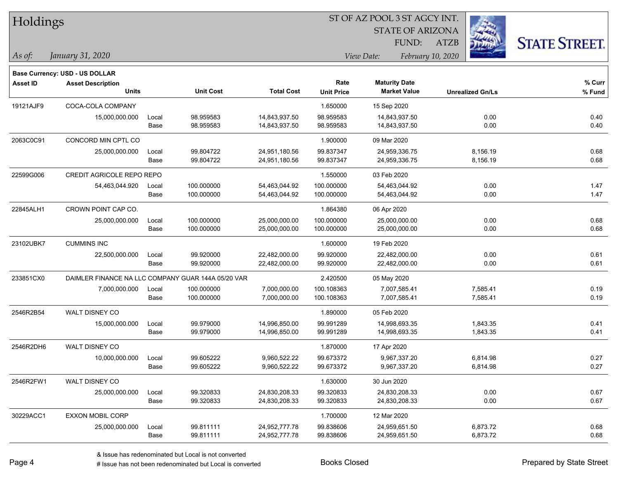| Holdings        |                                                    |       | ST OF AZ POOL 3 ST AGCY INT. |                   |                   |                         |                   |                         |                      |
|-----------------|----------------------------------------------------|-------|------------------------------|-------------------|-------------------|-------------------------|-------------------|-------------------------|----------------------|
|                 |                                                    |       |                              |                   |                   | <b>STATE OF ARIZONA</b> |                   |                         |                      |
|                 |                                                    |       |                              |                   |                   | FUND:                   | ATZB              |                         | <b>STATE STREET.</b> |
| As of:          | January 31, 2020                                   |       |                              |                   |                   | View Date:              | February 10, 2020 |                         |                      |
|                 | <b>Base Currency: USD - US DOLLAR</b>              |       |                              |                   |                   |                         |                   |                         |                      |
| <b>Asset ID</b> | <b>Asset Description</b>                           |       |                              |                   | Rate              | <b>Maturity Date</b>    |                   |                         | % Curr               |
|                 | <b>Units</b>                                       |       | <b>Unit Cost</b>             | <b>Total Cost</b> | <b>Unit Price</b> | <b>Market Value</b>     |                   | <b>Unrealized Gn/Ls</b> | % Fund               |
| 19121AJF9       | COCA-COLA COMPANY                                  |       |                              |                   | 1.650000          | 15 Sep 2020             |                   |                         |                      |
|                 | 15,000,000.000                                     | Local | 98.959583                    | 14,843,937.50     | 98.959583         | 14,843,937.50           |                   | 0.00                    | 0.40                 |
|                 |                                                    | Base  | 98.959583                    | 14,843,937.50     | 98.959583         | 14,843,937.50           |                   | 0.00                    | 0.40                 |
| 2063C0C91       | CONCORD MIN CPTL CO                                |       |                              |                   | 1.900000          | 09 Mar 2020             |                   |                         |                      |
|                 | 25,000,000.000                                     | Local | 99.804722                    | 24,951,180.56     | 99.837347         | 24,959,336.75           |                   | 8,156.19                | 0.68                 |
|                 |                                                    | Base  | 99.804722                    | 24,951,180.56     | 99.837347         | 24,959,336.75           |                   | 8,156.19                | 0.68                 |
| 22599G006       | CREDIT AGRICOLE REPO REPO                          |       |                              |                   | 1.550000          | 03 Feb 2020             |                   |                         |                      |
|                 | 54,463,044.920                                     | Local | 100.000000                   | 54,463,044.92     | 100.000000        | 54,463,044.92           |                   | 0.00                    | 1.47                 |
|                 |                                                    | Base  | 100.000000                   | 54,463,044.92     | 100.000000        | 54,463,044.92           |                   | 0.00                    | 1.47                 |
| 22845ALH1       | CROWN POINT CAP CO.                                |       |                              |                   | 1.864380          | 06 Apr 2020             |                   |                         |                      |
|                 | 25,000,000.000                                     | Local | 100.000000                   | 25,000,000.00     | 100.000000        | 25,000,000.00           |                   | 0.00                    | 0.68                 |
|                 |                                                    | Base  | 100.000000                   | 25,000,000.00     | 100.000000        | 25,000,000.00           |                   | 0.00                    | 0.68                 |
| 23102UBK7       | <b>CUMMINS INC</b>                                 |       |                              |                   | 1.600000          | 19 Feb 2020             |                   |                         |                      |
|                 | 22,500,000.000                                     | Local | 99.920000                    | 22,482,000.00     | 99.920000         | 22,482,000.00           |                   | 0.00                    | 0.61                 |
|                 |                                                    | Base  | 99.920000                    | 22,482,000.00     | 99.920000         | 22,482,000.00           |                   | 0.00                    | 0.61                 |
| 233851CX0       | DAIMLER FINANCE NA LLC COMPANY GUAR 144A 05/20 VAR |       |                              |                   | 2.420500          | 05 May 2020             |                   |                         |                      |
|                 | 7,000,000.000                                      | Local | 100.000000                   | 7,000,000.00      | 100.108363        | 7,007,585.41            |                   | 7,585.41                | 0.19                 |
|                 |                                                    | Base  | 100.000000                   | 7,000,000.00      | 100.108363        | 7,007,585.41            |                   | 7,585.41                | 0.19                 |
| 2546R2B54       | WALT DISNEY CO                                     |       |                              |                   | 1.890000          | 05 Feb 2020             |                   |                         |                      |
|                 | 15,000,000.000                                     | Local | 99.979000                    | 14,996,850.00     | 99.991289         | 14,998,693.35           |                   | 1,843.35                | 0.41                 |
|                 |                                                    | Base  | 99.979000                    | 14,996,850.00     | 99.991289         | 14,998,693.35           |                   | 1,843.35                | 0.41                 |
| 2546R2DH6       | WALT DISNEY CO                                     |       |                              |                   | 1.870000          | 17 Apr 2020             |                   |                         |                      |
|                 | 10,000,000.000                                     | Local | 99.605222                    | 9,960,522.22      | 99.673372         | 9,967,337.20            |                   | 6,814.98                | 0.27                 |
|                 |                                                    | Base  | 99.605222                    | 9,960,522.22      | 99.673372         | 9,967,337.20            |                   | 6,814.98                | 0.27                 |
| 2546R2FW1       | WALT DISNEY CO                                     |       |                              |                   | 1.630000          | 30 Jun 2020             |                   |                         |                      |
|                 | 25,000,000.000                                     | Local | 99.320833                    | 24,830,208.33     | 99.320833         | 24,830,208.33           |                   | 0.00                    | 0.67                 |
|                 |                                                    | Base  | 99.320833                    | 24,830,208.33     | 99.320833         | 24,830,208.33           |                   | 0.00                    | 0.67                 |
| 30229ACC1       | <b>EXXON MOBIL CORP</b>                            |       |                              |                   | 1.700000          | 12 Mar 2020             |                   |                         |                      |
|                 | 25,000,000.000                                     | Local | 99.811111                    | 24,952,777.78     | 99.838606         | 24,959,651.50           |                   | 6,873.72                | 0.68                 |
|                 |                                                    | Base  | 99.811111                    | 24,952,777.78     | 99.838606         | 24,959,651.50           |                   | 6,873.72                | 0.68                 |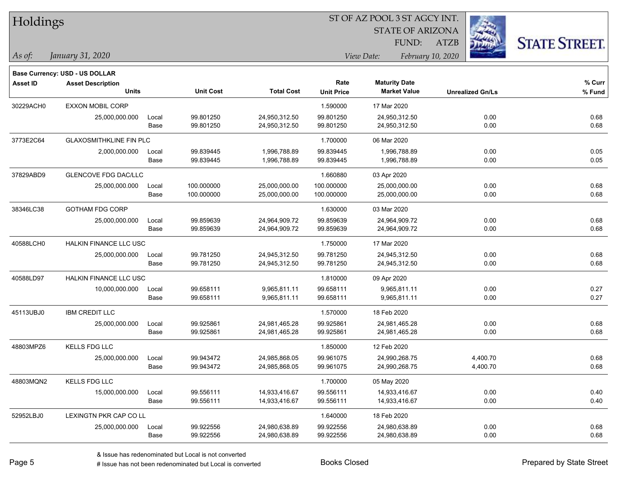| Holdings        |                                       |       |                  |                   |                   | ST OF AZ POOL 3 ST AGCY INT. |                         |                      |
|-----------------|---------------------------------------|-------|------------------|-------------------|-------------------|------------------------------|-------------------------|----------------------|
|                 |                                       |       |                  |                   |                   | <b>STATE OF ARIZONA</b>      |                         |                      |
|                 |                                       |       |                  |                   |                   | FUND:                        | <b>ATZB</b>             | <b>STATE STREET.</b> |
| $\vert$ As of:  | January 31, 2020                      |       |                  |                   |                   | View Date:                   | February 10, 2020       |                      |
|                 | <b>Base Currency: USD - US DOLLAR</b> |       |                  |                   |                   |                              |                         |                      |
| <b>Asset ID</b> | <b>Asset Description</b>              |       |                  |                   | Rate              | <b>Maturity Date</b>         |                         | % Curr               |
|                 | <b>Units</b>                          |       | <b>Unit Cost</b> | <b>Total Cost</b> | <b>Unit Price</b> | <b>Market Value</b>          | <b>Unrealized Gn/Ls</b> | % Fund               |
| 30229ACH0       | <b>EXXON MOBIL CORP</b>               |       |                  |                   | 1.590000          | 17 Mar 2020                  |                         |                      |
|                 | 25,000,000.000                        | Local | 99.801250        | 24,950,312.50     | 99.801250         | 24,950,312.50                | 0.00                    | 0.68                 |
|                 |                                       | Base  | 99.801250        | 24,950,312.50     | 99.801250         | 24,950,312.50                | 0.00                    | 0.68                 |
| 3773E2C64       | <b>GLAXOSMITHKLINE FIN PLC</b>        |       |                  |                   | 1.700000          | 06 Mar 2020                  |                         |                      |
|                 | 2,000,000.000                         | Local | 99.839445        | 1,996,788.89      | 99.839445         | 1,996,788.89                 | 0.00                    | 0.05                 |
|                 |                                       | Base  | 99.839445        | 1,996,788.89      | 99.839445         | 1,996,788.89                 | 0.00                    | 0.05                 |
| 37829ABD9       | GLENCOVE FDG DAC/LLC                  |       |                  |                   | 1.660880          | 03 Apr 2020                  |                         |                      |
|                 | 25,000,000.000                        | Local | 100.000000       | 25,000,000.00     | 100.000000        | 25,000,000.00                | 0.00                    | 0.68                 |
|                 |                                       | Base  | 100.000000       | 25,000,000.00     | 100.000000        | 25,000,000.00                | 0.00                    | 0.68                 |
| 38346LC38       | <b>GOTHAM FDG CORP</b>                |       |                  |                   | 1.630000          | 03 Mar 2020                  |                         |                      |
|                 | 25,000,000.000                        | Local | 99.859639        | 24,964,909.72     | 99.859639         | 24,964,909.72                | 0.00                    | 0.68                 |
|                 |                                       | Base  | 99.859639        | 24,964,909.72     | 99.859639         | 24,964,909.72                | 0.00                    | 0.68                 |
| 40588LCH0       | HALKIN FINANCE LLC USC                |       |                  |                   | 1.750000          | 17 Mar 2020                  |                         |                      |
|                 | 25,000,000.000                        | Local | 99.781250        | 24,945,312.50     | 99.781250         | 24,945,312.50                | 0.00                    | 0.68                 |
|                 |                                       | Base  | 99.781250        | 24,945,312.50     | 99.781250         | 24,945,312.50                | 0.00                    | 0.68                 |
| 40588LD97       | HALKIN FINANCE LLC USC                |       |                  |                   | 1.810000          | 09 Apr 2020                  |                         |                      |
|                 | 10,000,000.000                        | Local | 99.658111        | 9,965,811.11      | 99.658111         | 9,965,811.11                 | 0.00                    | 0.27                 |
|                 |                                       | Base  | 99.658111        | 9,965,811.11      | 99.658111         | 9,965,811.11                 | 0.00                    | 0.27                 |
| 45113UBJ0       | <b>IBM CREDIT LLC</b>                 |       |                  |                   | 1.570000          | 18 Feb 2020                  |                         |                      |
|                 | 25,000,000.000                        | Local | 99.925861        | 24,981,465.28     | 99.925861         | 24,981,465.28                | 0.00                    | 0.68                 |
|                 |                                       | Base  | 99.925861        | 24,981,465.28     | 99.925861         | 24,981,465.28                | 0.00                    | 0.68                 |
| 48803MPZ6       | KELLS FDG LLC                         |       |                  |                   | 1.850000          | 12 Feb 2020                  |                         |                      |
|                 | 25,000,000.000                        | Local | 99.943472        | 24,985,868.05     | 99.961075         | 24,990,268.75                | 4,400.70                | 0.68                 |
|                 |                                       | Base  | 99.943472        | 24,985,868.05     | 99.961075         | 24,990,268.75                | 4,400.70                | 0.68                 |
| 48803MQN2       | KELLS FDG LLC                         |       |                  |                   | 1.700000          | 05 May 2020                  |                         |                      |
|                 | 15,000,000.000                        | Local | 99.556111        | 14,933,416.67     | 99.556111         | 14,933,416.67                | 0.00                    | 0.40                 |
|                 |                                       | Base  | 99.556111        | 14,933,416.67     | 99.556111         | 14,933,416.67                | 0.00                    | 0.40                 |
| 52952LBJ0       | LEXINGTN PKR CAP CO LL                |       |                  |                   | 1.640000          | 18 Feb 2020                  |                         |                      |
|                 | 25,000,000.000                        | Local | 99.922556        | 24,980,638.89     | 99.922556         | 24,980,638.89                | 0.00                    | 0.68                 |
|                 |                                       | Base  | 99.922556        | 24,980,638.89     | 99.922556         | 24,980,638.89                | 0.00                    | 0.68                 |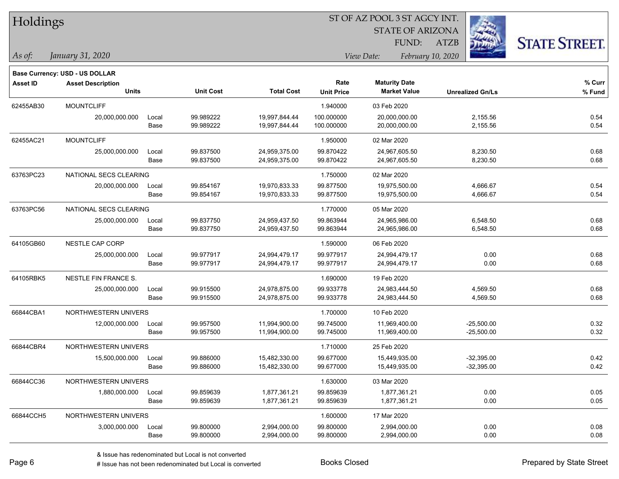|  | <b>Holdings</b> |
|--|-----------------|
|  |                 |

STATE OF ARIZONA

ATZB



**Base Currency: USD - US DOLLAR**

| <b>Asset ID</b> | <b>Asset Description</b><br><b>Units</b> |       | <b>Unit Cost</b> | <b>Total Cost</b> | Rate<br><b>Unit Price</b> | <b>Maturity Date</b><br><b>Market Value</b> | <b>Unrealized Gn/Ls</b> | % Curr<br>% Fund |
|-----------------|------------------------------------------|-------|------------------|-------------------|---------------------------|---------------------------------------------|-------------------------|------------------|
| 62455AB30       | <b>MOUNTCLIFF</b>                        |       |                  |                   | 1.940000                  | 03 Feb 2020                                 |                         |                  |
|                 | 20,000,000.000                           | Local | 99.989222        | 19,997,844.44     | 100.000000                | 20,000,000.00                               | 2,155.56                | 0.54             |
|                 |                                          | Base  | 99.989222        | 19,997,844.44     | 100.000000                | 20,000,000.00                               | 2,155.56                | 0.54             |
| 62455AC21       | <b>MOUNTCLIFF</b>                        |       |                  |                   | 1.950000                  | 02 Mar 2020                                 |                         |                  |
|                 | 25,000,000.000                           | Local | 99.837500        | 24,959,375.00     | 99.870422                 | 24,967,605.50                               | 8,230.50                | 0.68             |
|                 |                                          | Base  | 99.837500        | 24,959,375.00     | 99.870422                 | 24,967,605.50                               | 8,230.50                | 0.68             |
| 63763PC23       | NATIONAL SECS CLEARING                   |       |                  |                   | 1.750000                  | 02 Mar 2020                                 |                         |                  |
|                 | 20,000,000.000                           | Local | 99.854167        | 19,970,833.33     | 99.877500                 | 19,975,500.00                               | 4,666.67                | 0.54             |
|                 |                                          | Base  | 99.854167        | 19,970,833.33     | 99.877500                 | 19,975,500.00                               | 4,666.67                | 0.54             |
| 63763PC56       | NATIONAL SECS CLEARING                   |       |                  |                   | 1.770000                  | 05 Mar 2020                                 |                         |                  |
|                 | 25,000,000.000                           | Local | 99.837750        | 24,959,437.50     | 99.863944                 | 24,965,986.00                               | 6,548.50                | 0.68             |
|                 |                                          | Base  | 99.837750        | 24,959,437.50     | 99.863944                 | 24,965,986.00                               | 6,548.50                | 0.68             |
| 64105GB60       | NESTLE CAP CORP                          |       |                  |                   | 1.590000                  | 06 Feb 2020                                 |                         |                  |
|                 | 25,000,000.000                           | Local | 99.977917        | 24,994,479.17     | 99.977917                 | 24,994,479.17                               | 0.00                    | 0.68             |
|                 |                                          | Base  | 99.977917        | 24,994,479.17     | 99.977917                 | 24,994,479.17                               | 0.00                    | 0.68             |
| 64105RBK5       | NESTLE FIN FRANCE S.                     |       |                  |                   | 1.690000                  | 19 Feb 2020                                 |                         |                  |
|                 | 25,000,000.000                           | Local | 99.915500        | 24,978,875.00     | 99.933778                 | 24,983,444.50                               | 4,569.50                | 0.68             |
|                 |                                          | Base  | 99.915500        | 24,978,875.00     | 99.933778                 | 24,983,444.50                               | 4,569.50                | 0.68             |
| 66844CBA1       | NORTHWESTERN UNIVERS                     |       |                  |                   | 1.700000                  | 10 Feb 2020                                 |                         |                  |
|                 | 12,000,000.000                           | Local | 99.957500        | 11,994,900.00     | 99.745000                 | 11,969,400.00                               | $-25,500.00$            | 0.32             |
|                 |                                          | Base  | 99.957500        | 11,994,900.00     | 99.745000                 | 11,969,400.00                               | $-25,500.00$            | 0.32             |
| 66844CBR4       | NORTHWESTERN UNIVERS                     |       |                  |                   | 1.710000                  | 25 Feb 2020                                 |                         |                  |
|                 | 15,500,000.000                           | Local | 99.886000        | 15,482,330.00     | 99.677000                 | 15,449,935.00                               | $-32,395.00$            | 0.42             |
|                 |                                          | Base  | 99.886000        | 15,482,330.00     | 99.677000                 | 15,449,935.00                               | $-32,395.00$            | 0.42             |
| 66844CC36       | NORTHWESTERN UNIVERS                     |       |                  |                   | 1.630000                  | 03 Mar 2020                                 |                         |                  |
|                 | 1,880,000.000                            | Local | 99.859639        | 1,877,361.21      | 99.859639                 | 1,877,361.21                                | 0.00                    | 0.05             |
|                 |                                          | Base  | 99.859639        | 1,877,361.21      | 99.859639                 | 1,877,361.21                                | 0.00                    | 0.05             |
| 66844CCH5       | NORTHWESTERN UNIVERS                     |       |                  |                   | 1.600000                  | 17 Mar 2020                                 |                         |                  |
|                 | 3,000,000.000                            | Local | 99.800000        | 2,994,000.00      | 99.800000                 | 2,994,000.00                                | 0.00                    | 0.08             |
|                 |                                          | Base  | 99.800000        | 2,994,000.00      | 99.800000                 | 2,994,000.00                                | 0.00                    | 0.08             |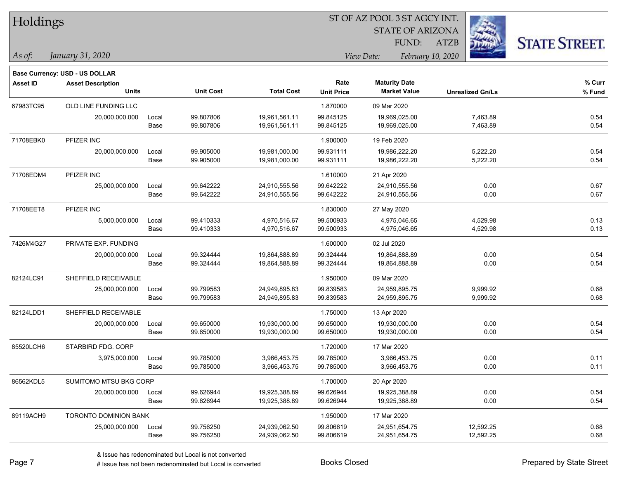|  | <b>Holdings</b> |
|--|-----------------|
|  |                 |

STATE OF ARIZONA FUND:

ATZB



*As of: View Date: February 10, 2020*

| As of: | January 31, 2020 |  |
|--------|------------------|--|
|        |                  |  |

|                 | <b>Base Currency: USD - US DOLLAR</b>    |       |                  |                   |                           |                                             |                         |                  |
|-----------------|------------------------------------------|-------|------------------|-------------------|---------------------------|---------------------------------------------|-------------------------|------------------|
| <b>Asset ID</b> | <b>Asset Description</b><br><b>Units</b> |       | <b>Unit Cost</b> | <b>Total Cost</b> | Rate<br><b>Unit Price</b> | <b>Maturity Date</b><br><b>Market Value</b> | <b>Unrealized Gn/Ls</b> | % Curr<br>% Fund |
| 67983TC95       | OLD LINE FUNDING LLC                     |       |                  |                   | 1.870000                  | 09 Mar 2020                                 |                         |                  |
|                 | 20,000,000.000                           | Local | 99.807806        | 19,961,561.11     | 99.845125                 | 19,969,025.00                               | 7,463.89                | 0.54             |
|                 |                                          | Base  | 99.807806        | 19,961,561.11     | 99.845125                 | 19,969,025.00                               | 7,463.89                | 0.54             |
| 71708EBK0       | PFIZER INC                               |       |                  |                   | 1.900000                  | 19 Feb 2020                                 |                         |                  |
|                 | 20,000,000.000                           | Local | 99.905000        | 19,981,000.00     | 99.931111                 | 19,986,222.20                               | 5,222.20                | 0.54             |
|                 |                                          | Base  | 99.905000        | 19,981,000.00     | 99.931111                 | 19,986,222.20                               | 5,222.20                | 0.54             |
| 71708EDM4       | PFIZER INC                               |       |                  |                   | 1.610000                  | 21 Apr 2020                                 |                         |                  |
|                 | 25.000.000.000                           | Local | 99.642222        | 24,910,555.56     | 99.642222                 | 24,910,555.56                               | 0.00                    | 0.67             |
|                 |                                          | Base  | 99.642222        | 24,910,555.56     | 99.642222                 | 24,910,555.56                               | 0.00                    | 0.67             |
| 71708EET8       | PFIZER INC                               |       |                  |                   | 1.830000                  | 27 May 2020                                 |                         |                  |
|                 | 5,000,000.000                            | Local | 99.410333        | 4,970,516.67      | 99.500933                 | 4,975,046.65                                | 4,529.98                | 0.13             |
|                 |                                          | Base  | 99.410333        | 4,970,516.67      | 99.500933                 | 4,975,046.65                                | 4,529.98                | 0.13             |
| 7426M4G27       | PRIVATE EXP. FUNDING                     |       |                  |                   | 1.600000                  | 02 Jul 2020                                 |                         |                  |
|                 | 20,000,000.000                           | Local | 99.324444        | 19,864,888.89     | 99.324444                 | 19,864,888.89                               | 0.00                    | 0.54             |
|                 |                                          | Base  | 99.324444        | 19,864,888.89     | 99.324444                 | 19,864,888.89                               | 0.00                    | 0.54             |
| 82124LC91       | SHEFFIELD RECEIVABLE                     |       |                  |                   | 1.950000                  | 09 Mar 2020                                 |                         |                  |
|                 | 25,000,000.000                           | Local | 99.799583        | 24,949,895.83     | 99.839583                 | 24,959,895.75                               | 9,999.92                | 0.68             |
|                 |                                          | Base  | 99.799583        | 24,949,895.83     | 99.839583                 | 24,959,895.75                               | 9,999.92                | 0.68             |
| 82124LDD1       | SHEFFIELD RECEIVABLE                     |       |                  |                   | 1.750000                  | 13 Apr 2020                                 |                         |                  |
|                 | 20,000,000.000                           | Local | 99.650000        | 19,930,000.00     | 99.650000                 | 19,930,000.00                               | 0.00                    | 0.54             |
|                 |                                          | Base  | 99.650000        | 19,930,000.00     | 99.650000                 | 19,930,000.00                               | 0.00                    | 0.54             |
| 85520LCH6       | STARBIRD FDG. CORP                       |       |                  |                   | 1.720000                  | 17 Mar 2020                                 |                         |                  |
|                 | 3,975,000.000                            | Local | 99.785000        | 3,966,453.75      | 99.785000                 | 3,966,453.75                                | 0.00                    | 0.11             |
|                 |                                          | Base  | 99.785000        | 3,966,453.75      | 99.785000                 | 3,966,453.75                                | 0.00                    | 0.11             |
| 86562KDL5       | SUMITOMO MTSU BKG CORP                   |       |                  |                   | 1.700000                  | 20 Apr 2020                                 |                         |                  |
|                 | 20,000,000.000                           | Local | 99.626944        | 19,925,388.89     | 99.626944                 | 19,925,388.89                               | 0.00                    | 0.54             |
|                 |                                          | Base  | 99.626944        | 19,925,388.89     | 99.626944                 | 19,925,388.89                               | 0.00                    | 0.54             |
| 89119ACH9       | <b>TORONTO DOMINION BANK</b>             |       |                  |                   | 1.950000                  | 17 Mar 2020                                 |                         |                  |
|                 | 25,000,000.000                           | Local | 99.756250        | 24,939,062.50     | 99.806619                 | 24,951,654.75                               | 12,592.25               | 0.68             |
|                 |                                          | Base  | 99.756250        | 24,939,062.50     | 99.806619                 | 24,951,654.75                               | 12,592.25               | 0.68             |
|                 |                                          |       |                  |                   |                           |                                             |                         |                  |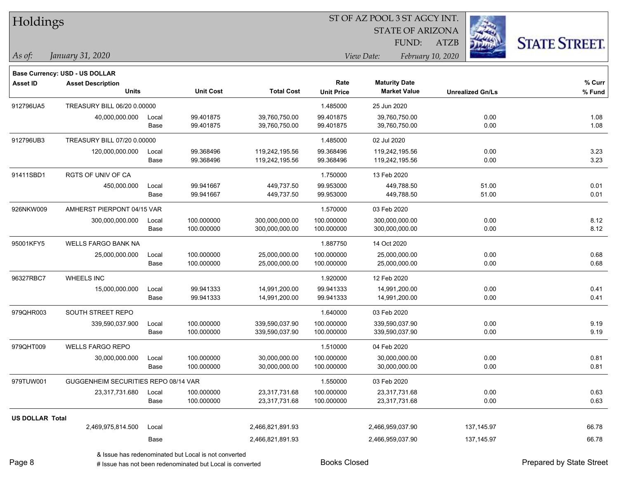| Holdings               |                                       |       |                  |                   |                   | ST OF AZ POOL 3 ST AGCY INT. |                         |                      |
|------------------------|---------------------------------------|-------|------------------|-------------------|-------------------|------------------------------|-------------------------|----------------------|
|                        |                                       |       |                  |                   |                   | <b>STATE OF ARIZONA</b>      |                         |                      |
|                        |                                       |       |                  |                   |                   | FUND:                        | ATZB                    | <b>STATE STREET.</b> |
| As of:                 | January 31, 2020                      |       |                  |                   |                   | View Date:                   | February 10, 2020       |                      |
|                        | <b>Base Currency: USD - US DOLLAR</b> |       |                  |                   |                   |                              |                         |                      |
| <b>Asset ID</b>        | <b>Asset Description</b>              |       |                  |                   | Rate              | <b>Maturity Date</b>         |                         | % Curr               |
|                        | <b>Units</b>                          |       | <b>Unit Cost</b> | <b>Total Cost</b> | <b>Unit Price</b> | <b>Market Value</b>          | <b>Unrealized Gn/Ls</b> | % Fund               |
| 912796UA5              | TREASURY BILL 06/20 0.00000           |       |                  |                   | 1.485000          | 25 Jun 2020                  |                         |                      |
|                        | 40,000,000.000                        | Local | 99.401875        | 39,760,750.00     | 99.401875         | 39,760,750.00                | 0.00                    | 1.08                 |
|                        |                                       | Base  | 99.401875        | 39,760,750.00     | 99.401875         | 39,760,750.00                | 0.00                    | 1.08                 |
| 912796UB3              | TREASURY BILL 07/20 0.00000           |       |                  |                   | 1.485000          | 02 Jul 2020                  |                         |                      |
|                        | 120,000,000.000                       | Local | 99.368496        | 119,242,195.56    | 99.368496         | 119,242,195.56               | 0.00                    | 3.23                 |
|                        |                                       | Base  | 99.368496        | 119,242,195.56    | 99.368496         | 119,242,195.56               | 0.00                    | 3.23                 |
| 91411SBD1              | RGTS OF UNIV OF CA                    |       |                  |                   | 1.750000          | 13 Feb 2020                  |                         |                      |
|                        | 450,000.000                           | Local | 99.941667        | 449,737.50        | 99.953000         | 449,788.50                   | 51.00                   | 0.01                 |
|                        |                                       | Base  | 99.941667        | 449,737.50        | 99.953000         | 449,788.50                   | 51.00                   | 0.01                 |
| 926NKW009              | AMHERST PIERPONT 04/15 VAR            |       |                  |                   | 1.570000          | 03 Feb 2020                  |                         |                      |
|                        | 300,000,000.000                       | Local | 100.000000       | 300,000,000.00    | 100.000000        | 300,000,000.00               | 0.00                    | 8.12                 |
|                        |                                       | Base  | 100.000000       | 300,000,000.00    | 100.000000        | 300,000,000.00               | 0.00                    | 8.12                 |
| 95001KFY5              | WELLS FARGO BANK NA                   |       |                  |                   | 1.887750          | 14 Oct 2020                  |                         |                      |
|                        | 25,000,000.000                        | Local | 100.000000       | 25,000,000.00     | 100.000000        | 25,000,000.00                | 0.00                    | 0.68                 |
|                        |                                       | Base  | 100.000000       | 25,000,000.00     | 100.000000        | 25,000,000.00                | 0.00                    | 0.68                 |
| 96327RBC7              | <b>WHEELS INC</b>                     |       |                  |                   | 1.920000          | 12 Feb 2020                  |                         |                      |
|                        | 15,000,000.000                        | Local | 99.941333        | 14,991,200.00     | 99.941333         | 14,991,200.00                | 0.00                    | 0.41                 |
|                        |                                       | Base  | 99.941333        | 14,991,200.00     | 99.941333         | 14,991,200.00                | 0.00                    | 0.41                 |
| 979QHR003              | SOUTH STREET REPO                     |       |                  |                   | 1.640000          | 03 Feb 2020                  |                         |                      |
|                        | 339,590,037.900                       | Local | 100.000000       | 339,590,037.90    | 100.000000        | 339,590,037.90               | 0.00                    | 9.19                 |
|                        |                                       | Base  | 100.000000       | 339,590,037.90    | 100.000000        | 339,590,037.90               | 0.00                    | 9.19                 |
| 979QHT009              | <b>WELLS FARGO REPO</b>               |       |                  |                   | 1.510000          | 04 Feb 2020                  |                         |                      |
|                        | 30,000,000.000                        | Local | 100.000000       | 30,000,000.00     | 100.000000        | 30,000,000.00                | 0.00                    | 0.81                 |
|                        |                                       | Base  | 100.000000       | 30,000,000.00     | 100.000000        | 30,000,000.00                | 0.00                    | 0.81                 |
| 979TUW001              | GUGGENHEIM SECURITIES REPO 08/14 VAR  |       |                  |                   | 1.550000          | 03 Feb 2020                  |                         |                      |
|                        | 23,317,731.680                        | Local | 100.000000       | 23,317,731.68     | 100.000000        | 23,317,731.68                | 0.00                    | 0.63                 |
|                        |                                       | Base  | 100.000000       | 23,317,731.68     | 100.000000        | 23,317,731.68                | 0.00                    | 0.63                 |
| <b>US DOLLAR Total</b> |                                       |       |                  |                   |                   |                              |                         |                      |
|                        | 2,469,975,814.500                     | Local |                  | 2,466,821,891.93  |                   | 2,466,959,037.90             | 137,145.97              | 66.78                |
|                        |                                       | Base  |                  | 2,466,821,891.93  |                   | 2,466,959,037.90             | 137,145.97              | 66.78                |
|                        |                                       |       |                  |                   |                   |                              |                         |                      |

-

 $\overline{\phantom{0}}$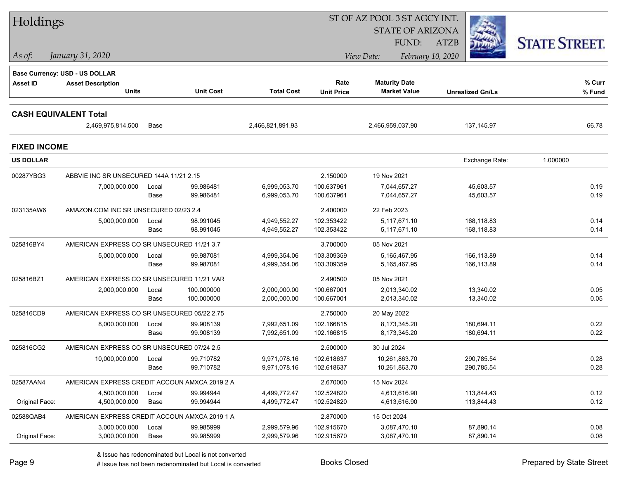| Holdings            |                                                            |       |                  |                   |                   | ST OF AZ POOL 3 ST AGCY INT. |                         |                      |  |
|---------------------|------------------------------------------------------------|-------|------------------|-------------------|-------------------|------------------------------|-------------------------|----------------------|--|
|                     |                                                            |       |                  |                   |                   | <b>STATE OF ARIZONA</b>      |                         |                      |  |
|                     |                                                            |       |                  |                   |                   | <b>FUND:</b>                 | <b>ATZB</b>             | <b>STATE STREET.</b> |  |
| As of:              | January 31, 2020                                           |       |                  |                   |                   | View Date:                   | February 10, 2020       |                      |  |
|                     |                                                            |       |                  |                   |                   |                              |                         |                      |  |
| <b>Asset ID</b>     | Base Currency: USD - US DOLLAR<br><b>Asset Description</b> |       |                  |                   | Rate              | <b>Maturity Date</b>         |                         | % Curr               |  |
|                     | <b>Units</b>                                               |       | <b>Unit Cost</b> | <b>Total Cost</b> | <b>Unit Price</b> | <b>Market Value</b>          | <b>Unrealized Gn/Ls</b> | % Fund               |  |
|                     |                                                            |       |                  |                   |                   |                              |                         |                      |  |
|                     | <b>CASH EQUIVALENT Total</b>                               |       |                  |                   |                   |                              |                         |                      |  |
|                     | 2,469,975,814.500                                          | Base  |                  | 2,466,821,891.93  |                   | 2,466,959,037.90             | 137, 145.97             | 66.78                |  |
| <b>FIXED INCOME</b> |                                                            |       |                  |                   |                   |                              |                         |                      |  |
| <b>US DOLLAR</b>    |                                                            |       |                  |                   |                   |                              | Exchange Rate:          | 1.000000             |  |
| 00287YBG3           | ABBVIE INC SR UNSECURED 144A 11/21 2.15                    |       |                  |                   | 2.150000          | 19 Nov 2021                  |                         |                      |  |
|                     | 7,000,000.000                                              | Local | 99.986481        | 6,999,053.70      | 100.637961        | 7,044,657.27                 | 45,603.57               | 0.19                 |  |
|                     |                                                            | Base  | 99.986481        | 6,999,053.70      | 100.637961        | 7,044,657.27                 | 45,603.57               | 0.19                 |  |
| 023135AW6           | AMAZON.COM INC SR UNSECURED 02/23 2.4                      |       |                  |                   | 2.400000          | 22 Feb 2023                  |                         |                      |  |
|                     | 5,000,000.000                                              | Local | 98.991045        | 4,949,552.27      | 102.353422        | 5,117,671.10                 | 168,118.83              | 0.14                 |  |
|                     |                                                            | Base  | 98.991045        | 4,949,552.27      | 102.353422        | 5,117,671.10                 | 168,118.83              | 0.14                 |  |
| 025816BY4           | AMERICAN EXPRESS CO SR UNSECURED 11/21 3.7                 |       |                  |                   | 3.700000          | 05 Nov 2021                  |                         |                      |  |
|                     | 5,000,000.000                                              | Local | 99.987081        | 4,999,354.06      | 103.309359        | 5,165,467.95                 | 166,113.89              | 0.14                 |  |
|                     |                                                            | Base  | 99.987081        | 4,999,354.06      | 103.309359        | 5,165,467.95                 | 166,113.89              | 0.14                 |  |
| 025816BZ1           | AMERICAN EXPRESS CO SR UNSECURED 11/21 VAR                 |       |                  |                   | 2.490500          | 05 Nov 2021                  |                         |                      |  |
|                     | 2,000,000.000                                              | Local | 100.000000       | 2,000,000.00      | 100.667001        | 2,013,340.02                 | 13,340.02               | 0.05                 |  |
|                     |                                                            | Base  | 100.000000       | 2,000,000.00      | 100.667001        | 2,013,340.02                 | 13,340.02               | 0.05                 |  |
| 025816CD9           | AMERICAN EXPRESS CO SR UNSECURED 05/22 2.75                |       |                  |                   | 2.750000          | 20 May 2022                  |                         |                      |  |
|                     | 8,000,000.000                                              | Local | 99.908139        | 7,992,651.09      | 102.166815        | 8,173,345.20                 | 180,694.11              | 0.22                 |  |
|                     |                                                            | Base  | 99.908139        | 7,992,651.09      | 102.166815        | 8,173,345.20                 | 180,694.11              | 0.22                 |  |
| 025816CG2           | AMERICAN EXPRESS CO SR UNSECURED 07/24 2.5                 |       |                  |                   | 2.500000          | 30 Jul 2024                  |                         |                      |  |
|                     | 10,000,000.000                                             | Local | 99.710782        | 9,971,078.16      | 102.618637        | 10,261,863.70                | 290,785.54              | 0.28                 |  |
|                     |                                                            | Base  | 99.710782        | 9,971,078.16      | 102.618637        | 10,261,863.70                | 290,785.54              | 0.28                 |  |
| 02587AAN4           | AMERICAN EXPRESS CREDIT ACCOUN AMXCA 2019 2 A              |       |                  |                   | 2.670000          | 15 Nov 2024                  |                         |                      |  |
|                     | 4,500,000.000                                              | Local | 99.994944        | 4,499,772.47      | 102.524820        | 4,613,616.90                 | 113,844.43              | 0.12                 |  |
| Original Face:      | 4,500,000.000                                              | Base  | 99.994944        | 4,499,772.47      | 102.524820        | 4,613,616.90                 | 113,844.43              | 0.12                 |  |
| 02588QAB4           | AMERICAN EXPRESS CREDIT ACCOUN AMXCA 2019 1 A              |       |                  |                   | 2.870000          | 15 Oct 2024                  |                         |                      |  |
|                     | 3,000,000.000                                              | Local | 99.985999        | 2,999,579.96      | 102.915670        | 3,087,470.10                 | 87,890.14               | 0.08                 |  |
| Original Face:      | 3,000,000.000                                              | Base  | 99.985999        | 2,999,579.96      | 102.915670        | 3,087,470.10                 | 87,890.14               | 0.08                 |  |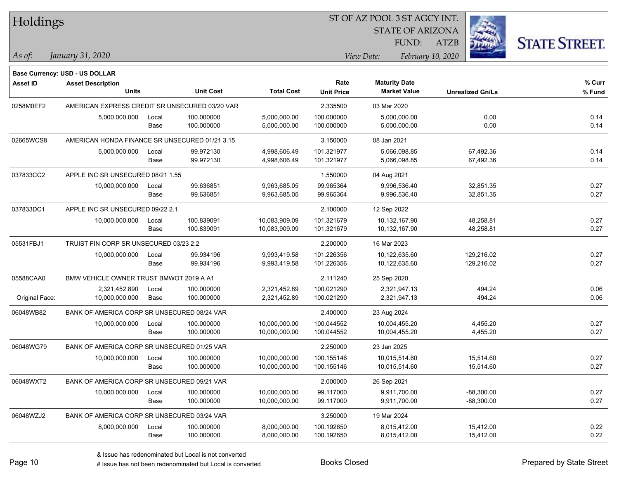| Holdings        |                                                |       |                  | ST OF AZ POOL 3 ST AGCY INT. |                   |                         |                         |                      |  |  |
|-----------------|------------------------------------------------|-------|------------------|------------------------------|-------------------|-------------------------|-------------------------|----------------------|--|--|
|                 |                                                |       |                  |                              |                   | <b>STATE OF ARIZONA</b> |                         |                      |  |  |
|                 |                                                |       |                  |                              |                   | FUND:                   | <b>ATZB</b>             | <b>STATE STREET.</b> |  |  |
| As of:          | January 31, 2020                               |       |                  |                              |                   | View Date:              | February 10, 2020       |                      |  |  |
|                 | Base Currency: USD - US DOLLAR                 |       |                  |                              |                   |                         |                         |                      |  |  |
| <b>Asset ID</b> | <b>Asset Description</b>                       |       |                  |                              | Rate              | <b>Maturity Date</b>    |                         | $%$ Curr             |  |  |
|                 | <b>Units</b>                                   |       | <b>Unit Cost</b> | <b>Total Cost</b>            | <b>Unit Price</b> | <b>Market Value</b>     | <b>Unrealized Gn/Ls</b> | % Fund               |  |  |
| 0258M0EF2       | AMERICAN EXPRESS CREDIT SR UNSECURED 03/20 VAR |       |                  |                              | 2.335500          | 03 Mar 2020             |                         |                      |  |  |
|                 | 5,000,000.000                                  | Local | 100.000000       | 5,000,000.00                 | 100.000000        | 5,000,000.00            | 0.00                    | 0.14                 |  |  |
|                 |                                                | Base  | 100.000000       | 5,000,000.00                 | 100.000000        | 5,000,000.00            | 0.00                    | 0.14                 |  |  |
| 02665WCS8       | AMERICAN HONDA FINANCE SR UNSECURED 01/21 3.15 |       |                  |                              | 3.150000          | 08 Jan 2021             |                         |                      |  |  |
|                 | 5,000,000.000                                  | Local | 99.972130        | 4,998,606.49                 | 101.321977        | 5,066,098.85            | 67,492.36               | 0.14                 |  |  |
|                 |                                                | Base  | 99.972130        | 4,998,606.49                 | 101.321977        | 5,066,098.85            | 67,492.36               | 0.14                 |  |  |
| 037833CC2       | APPLE INC SR UNSECURED 08/21 1.55              |       |                  |                              | 1.550000          | 04 Aug 2021             |                         |                      |  |  |
|                 | 10,000,000.000                                 | Local | 99.636851        | 9,963,685.05                 | 99.965364         | 9,996,536.40            | 32,851.35               | 0.27                 |  |  |
|                 |                                                | Base  | 99.636851        | 9,963,685.05                 | 99.965364         | 9,996,536.40            | 32,851.35               | 0.27                 |  |  |
| 037833DC1       | APPLE INC SR UNSECURED 09/22 2.1               |       |                  |                              | 2.100000          | 12 Sep 2022             |                         |                      |  |  |
|                 | 10,000,000.000                                 | Local | 100.839091       | 10,083,909.09                | 101.321679        | 10,132,167.90           | 48,258.81               | 0.27                 |  |  |
|                 |                                                | Base  | 100.839091       | 10,083,909.09                | 101.321679        | 10,132,167.90           | 48,258.81               | 0.27                 |  |  |
| 05531FBJ1       | TRUIST FIN CORP SR UNSECURED 03/23 2.2         |       |                  |                              | 2.200000          | 16 Mar 2023             |                         |                      |  |  |
|                 | 10,000,000.000                                 | Local | 99.934196        | 9,993,419.58                 | 101.226356        | 10,122,635.60           | 129,216.02              | 0.27                 |  |  |
|                 |                                                | Base  | 99.934196        | 9,993,419.58                 | 101.226356        | 10,122,635.60           | 129,216.02              | 0.27                 |  |  |
| 05588CAA0       | BMW VEHICLE OWNER TRUST BMWOT 2019 A A1        |       |                  |                              | 2.111240          | 25 Sep 2020             |                         |                      |  |  |
|                 | 2,321,452.890                                  | Local | 100.000000       | 2,321,452.89                 | 100.021290        | 2,321,947.13            | 494.24                  | 0.06                 |  |  |
| Original Face:  | 10,000,000.000                                 | Base  | 100.000000       | 2,321,452.89                 | 100.021290        | 2,321,947.13            | 494.24                  | 0.06                 |  |  |
| 06048WB82       | BANK OF AMERICA CORP SR UNSECURED 08/24 VAR    |       |                  |                              | 2.400000          | 23 Aug 2024             |                         |                      |  |  |
|                 | 10,000,000.000                                 | Local | 100.000000       | 10,000,000.00                | 100.044552        | 10,004,455.20           | 4,455.20                | 0.27                 |  |  |
|                 |                                                | Base  | 100.000000       | 10,000,000.00                | 100.044552        | 10,004,455.20           | 4,455.20                | 0.27                 |  |  |
| 06048WG79       | BANK OF AMERICA CORP SR UNSECURED 01/25 VAR    |       |                  |                              | 2.250000          | 23 Jan 2025             |                         |                      |  |  |
|                 | 10,000,000.000                                 | Local | 100.000000       | 10,000,000.00                | 100.155146        | 10,015,514.60           | 15,514.60               | 0.27                 |  |  |
|                 |                                                | Base  | 100.000000       | 10,000,000.00                | 100.155146        | 10,015,514.60           | 15,514.60               | 0.27                 |  |  |
| 06048WXT2       | BANK OF AMERICA CORP SR UNSECURED 09/21 VAR    |       |                  |                              | 2.000000          | 26 Sep 2021             |                         |                      |  |  |
|                 | 10,000,000.000                                 | Local | 100.000000       | 10,000,000.00                | 99.117000         | 9,911,700.00            | $-88,300.00$            | 0.27                 |  |  |
|                 |                                                | Base  | 100.000000       | 10,000,000.00                | 99.117000         | 9,911,700.00            | $-88,300.00$            | 0.27                 |  |  |
| 06048WZJ2       | BANK OF AMERICA CORP SR UNSECURED 03/24 VAR    |       |                  |                              | 3.250000          | 19 Mar 2024             |                         |                      |  |  |
|                 | 8,000,000.000                                  | Local | 100.000000       | 8,000,000.00                 | 100.192650        | 8,015,412.00            | 15,412.00               | 0.22                 |  |  |
|                 |                                                | Base  | 100.000000       | 8,000,000.00                 | 100.192650        | 8,015,412.00            | 15,412.00               | 0.22                 |  |  |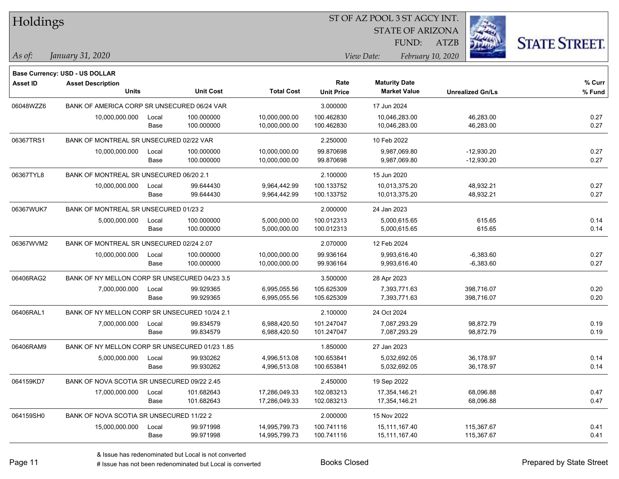| Holdings        |                                                |               |                          |                                |                           |                                             |                             |                              |                      |
|-----------------|------------------------------------------------|---------------|--------------------------|--------------------------------|---------------------------|---------------------------------------------|-----------------------------|------------------------------|----------------------|
|                 |                                                |               |                          |                                |                           |                                             | <b>STATE OF ARIZONA</b>     |                              |                      |
|                 |                                                |               |                          |                                |                           |                                             | <b>FUND:</b><br><b>ATZB</b> |                              | <b>STATE STREET.</b> |
| $\vert$ As of:  | January 31, 2020                               |               |                          |                                |                           | View Date:                                  | February 10, 2020           |                              |                      |
|                 |                                                |               |                          |                                |                           |                                             |                             |                              |                      |
|                 | <b>Base Currency: USD - US DOLLAR</b>          |               |                          |                                |                           |                                             |                             |                              |                      |
| <b>Asset ID</b> | <b>Asset Description</b><br><b>Units</b>       |               | <b>Unit Cost</b>         | <b>Total Cost</b>              | Rate<br><b>Unit Price</b> | <b>Maturity Date</b><br><b>Market Value</b> |                             | <b>Unrealized Gn/Ls</b>      | % Curr<br>% Fund     |
|                 |                                                |               |                          |                                |                           |                                             |                             |                              |                      |
| 06048WZZ6       | BANK OF AMERICA CORP SR UNSECURED 06/24 VAR    |               |                          |                                | 3.000000                  | 17 Jun 2024                                 |                             |                              |                      |
|                 | 10,000,000.000                                 | Local<br>Base | 100.000000<br>100.000000 | 10,000,000.00<br>10,000,000.00 | 100.462830<br>100.462830  | 10,046,283.00<br>10,046,283.00              |                             | 46,283.00<br>46,283.00       | 0.27<br>0.27         |
|                 |                                                |               |                          |                                |                           |                                             |                             |                              |                      |
| 06367TRS1       | BANK OF MONTREAL SR UNSECURED 02/22 VAR        |               |                          |                                | 2.250000                  | 10 Feb 2022                                 |                             |                              |                      |
|                 | 10,000,000.000                                 | Local<br>Base | 100.000000<br>100.000000 | 10,000,000.00<br>10,000,000.00 | 99.870698<br>99.870698    | 9,987,069.80<br>9,987,069.80                |                             | $-12,930.20$<br>$-12,930.20$ | 0.27<br>0.27         |
|                 |                                                |               |                          |                                |                           |                                             |                             |                              |                      |
| 06367TYL8       | BANK OF MONTREAL SR UNSECURED 06/20 2.1        |               |                          |                                | 2.100000                  | 15 Jun 2020                                 |                             |                              |                      |
|                 | 10,000,000.000                                 | Local<br>Base | 99.644430<br>99.644430   | 9,964,442.99<br>9,964,442.99   | 100.133752<br>100.133752  | 10,013,375.20<br>10,013,375.20              |                             | 48,932.21<br>48,932.21       | 0.27<br>0.27         |
|                 |                                                |               |                          |                                |                           |                                             |                             |                              |                      |
| 06367WUK7       | BANK OF MONTREAL SR UNSECURED 01/23 2          |               |                          |                                | 2.000000                  | 24 Jan 2023                                 |                             |                              |                      |
|                 | 5,000,000.000                                  | Local<br>Base | 100.000000<br>100.000000 | 5,000,000.00<br>5,000,000.00   | 100.012313<br>100.012313  | 5,000,615.65<br>5,000,615.65                |                             | 615.65<br>615.65             | 0.14<br>0.14         |
|                 |                                                |               |                          |                                |                           |                                             |                             |                              |                      |
| 06367WVM2       | BANK OF MONTREAL SR UNSECURED 02/24 2.07       |               |                          |                                | 2.070000                  | 12 Feb 2024                                 |                             |                              |                      |
|                 | 10,000,000.000                                 | Local         | 100.000000               | 10,000,000.00                  | 99.936164                 | 9,993,616.40                                |                             | $-6,383.60$                  | 0.27                 |
|                 |                                                | Base          | 100.000000               | 10,000,000.00                  | 99.936164                 | 9,993,616.40                                |                             | $-6,383.60$                  | 0.27                 |
| 06406RAG2       | BANK OF NY MELLON CORP SR UNSECURED 04/23 3.5  |               |                          |                                | 3.500000                  | 28 Apr 2023                                 |                             |                              |                      |
|                 | 7,000,000.000                                  | Local         | 99.929365                | 6,995,055.56                   | 105.625309                | 7,393,771.63                                |                             | 398,716.07                   | 0.20                 |
|                 |                                                | Base          | 99.929365                | 6,995,055.56                   | 105.625309                | 7,393,771.63                                |                             | 398,716.07                   | 0.20                 |
| 06406RAL1       | BANK OF NY MELLON CORP SR UNSECURED 10/24 2.1  |               |                          |                                | 2.100000                  | 24 Oct 2024                                 |                             |                              |                      |
|                 | 7,000,000.000                                  | Local         | 99.834579                | 6,988,420.50                   | 101.247047                | 7,087,293.29                                |                             | 98,872.79                    | 0.19                 |
|                 |                                                | Base          | 99.834579                | 6,988,420.50                   | 101.247047                | 7,087,293.29                                |                             | 98,872.79                    | 0.19                 |
| 06406RAM9       | BANK OF NY MELLON CORP SR UNSECURED 01/23 1.85 |               |                          |                                | 1.850000                  | 27 Jan 2023                                 |                             |                              |                      |
|                 | 5,000,000.000                                  | Local         | 99.930262                | 4,996,513.08                   | 100.653841                | 5,032,692.05                                |                             | 36,178.97                    | 0.14                 |
|                 |                                                | Base          | 99.930262                | 4,996,513.08                   | 100.653841                | 5,032,692.05                                |                             | 36,178.97                    | 0.14                 |
| 064159KD7       | BANK OF NOVA SCOTIA SR UNSECURED 09/22 2.45    |               |                          |                                | 2.450000                  | 19 Sep 2022                                 |                             |                              |                      |
|                 | 17,000,000.000                                 | Local         | 101.682643               | 17,286,049.33                  | 102.083213                | 17,354,146.21                               |                             | 68,096.88                    | 0.47                 |
|                 |                                                | Base          | 101.682643               | 17,286,049.33                  | 102.083213                | 17,354,146.21                               |                             | 68,096.88                    | 0.47                 |
| 064159SH0       | BANK OF NOVA SCOTIA SR UNSECURED 11/22 2       |               |                          |                                | 2.000000                  | 15 Nov 2022                                 |                             |                              |                      |
|                 | 15,000,000.000                                 | Local         | 99.971998                | 14,995,799.73                  | 100.741116                | 15,111,167.40                               |                             | 115,367.67                   | 0.41                 |
|                 |                                                | Base          | 99.971998                | 14,995,799.73                  | 100.741116                | 15,111,167.40                               |                             | 115,367.67                   | 0.41                 |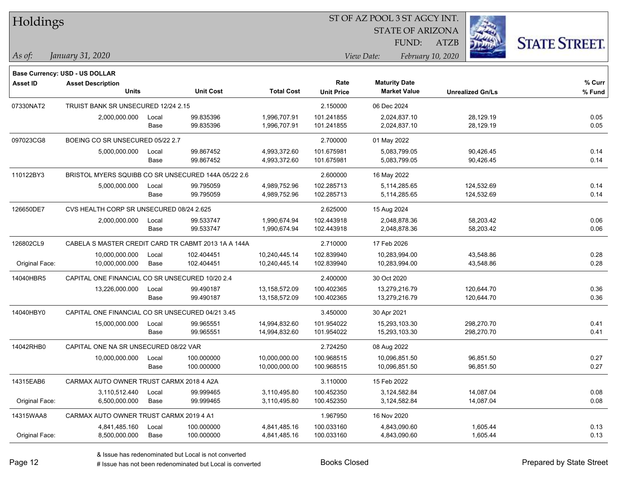| <b>Holdings</b> |  |
|-----------------|--|
|-----------------|--|

STATE OF ARIZONA

ATZB



**Base Currency: USD - US DOLLAR**

| <b>Asset ID</b> | <b>Asset Description</b><br><b>Units</b>            |       | <b>Unit Cost</b> | <b>Total Cost</b> | Rate<br><b>Unit Price</b> | <b>Maturity Date</b><br><b>Market Value</b> | <b>Unrealized Gn/Ls</b> | % Curr<br>% Fund |
|-----------------|-----------------------------------------------------|-------|------------------|-------------------|---------------------------|---------------------------------------------|-------------------------|------------------|
|                 |                                                     |       |                  |                   |                           |                                             |                         |                  |
| 07330NAT2       | TRUIST BANK SR UNSECURED 12/24 2.15                 |       |                  |                   | 2.150000                  | 06 Dec 2024                                 |                         |                  |
|                 | 2,000,000.000                                       | Local | 99.835396        | 1,996,707.91      | 101.241855                | 2,024,837.10                                | 28,129.19               | 0.05             |
|                 |                                                     | Base  | 99.835396        | 1,996,707.91      | 101.241855                | 2,024,837.10                                | 28,129.19               | 0.05             |
| 097023CG8       | BOEING CO SR UNSECURED 05/22 2.7                    |       |                  |                   | 2.700000                  | 01 May 2022                                 |                         |                  |
|                 | 5,000,000.000                                       | Local | 99.867452        | 4,993,372.60      | 101.675981                | 5,083,799.05                                | 90,426.45               | 0.14             |
|                 |                                                     | Base  | 99.867452        | 4,993,372.60      | 101.675981                | 5,083,799.05                                | 90,426.45               | 0.14             |
| 110122BY3       | BRISTOL MYERS SQUIBB CO SR UNSECURED 144A 05/22 2.6 |       |                  |                   | 2.600000                  | 16 May 2022                                 |                         |                  |
|                 | 5,000,000.000                                       | Local | 99.795059        | 4,989,752.96      | 102.285713                | 5,114,285.65                                | 124,532.69              | 0.14             |
|                 |                                                     | Base  | 99.795059        | 4,989,752.96      | 102.285713                | 5,114,285.65                                | 124,532.69              | 0.14             |
| 126650DE7       | CVS HEALTH CORP SR UNSECURED 08/24 2.625            |       |                  |                   | 2.625000                  | 15 Aug 2024                                 |                         |                  |
|                 | 2,000,000.000                                       | Local | 99.533747        | 1,990,674.94      | 102.443918                | 2,048,878.36                                | 58,203.42               | 0.06             |
|                 |                                                     | Base  | 99.533747        | 1,990,674.94      | 102.443918                | 2,048,878.36                                | 58,203.42               | 0.06             |
| 126802CL9       | CABELA S MASTER CREDIT CARD TR CABMT 2013 1A A 144A |       |                  | 2.710000          | 17 Feb 2026               |                                             |                         |                  |
|                 | 10,000,000.000                                      | Local | 102.404451       | 10,240,445.14     | 102.839940                | 10.283.994.00                               | 43,548.86               | 0.28             |
| Original Face:  | 10,000,000.000                                      | Base  | 102.404451       | 10,240,445.14     | 102.839940                | 10,283,994.00                               | 43,548.86               | 0.28             |
| 14040HBR5       | CAPITAL ONE FINANCIAL CO SR UNSECURED 10/20 2.4     |       |                  |                   | 2.400000                  | 30 Oct 2020                                 |                         |                  |
|                 | 13,226,000.000                                      | Local | 99.490187        | 13,158,572.09     | 100.402365                | 13,279,216.79                               | 120,644.70              | 0.36             |
|                 |                                                     | Base  | 99.490187        | 13,158,572.09     | 100.402365                | 13,279,216.79                               | 120,644.70              | 0.36             |
| 14040HBY0       | CAPITAL ONE FINANCIAL CO SR UNSECURED 04/21 3.45    |       |                  |                   | 3.450000                  | 30 Apr 2021                                 |                         |                  |
|                 | 15,000,000.000                                      | Local | 99.965551        | 14,994,832.60     | 101.954022                | 15,293,103.30                               | 298,270.70              | 0.41             |
|                 |                                                     | Base  | 99.965551        | 14,994,832.60     | 101.954022                | 15,293,103.30                               | 298,270.70              | 0.41             |
| 14042RHB0       | CAPITAL ONE NA SR UNSECURED 08/22 VAR               |       |                  |                   | 2.724250                  | 08 Aug 2022                                 |                         |                  |
|                 | 10,000,000.000                                      | Local | 100.000000       | 10,000,000.00     | 100.968515                | 10,096,851.50                               | 96,851.50               | 0.27             |
|                 |                                                     | Base  | 100.000000       | 10,000,000.00     | 100.968515                | 10,096,851.50                               | 96,851.50               | 0.27             |
| 14315EAB6       | CARMAX AUTO OWNER TRUST CARMX 2018 4 A2A            |       |                  |                   | 3.110000                  | 15 Feb 2022                                 |                         |                  |
|                 | 3,110,512.440                                       | Local | 99.999465        | 3,110,495.80      | 100.452350                | 3,124,582.84                                | 14,087.04               | 0.08             |
| Original Face:  | 6,500,000.000                                       | Base  | 99.999465        | 3,110,495.80      | 100.452350                | 3,124,582.84                                | 14,087.04               | 0.08             |
| 14315WAA8       | CARMAX AUTO OWNER TRUST CARMX 2019 4 A1             |       |                  |                   | 1.967950                  | 16 Nov 2020                                 |                         |                  |
|                 | 4,841,485.160                                       | Local | 100.000000       | 4,841,485.16      | 100.033160                | 4,843,090.60                                | 1,605.44                | 0.13             |
| Original Face:  | 8,500,000.000                                       | Base  | 100.000000       | 4,841,485.16      | 100.033160                | 4,843,090.60                                | 1,605.44                | 0.13             |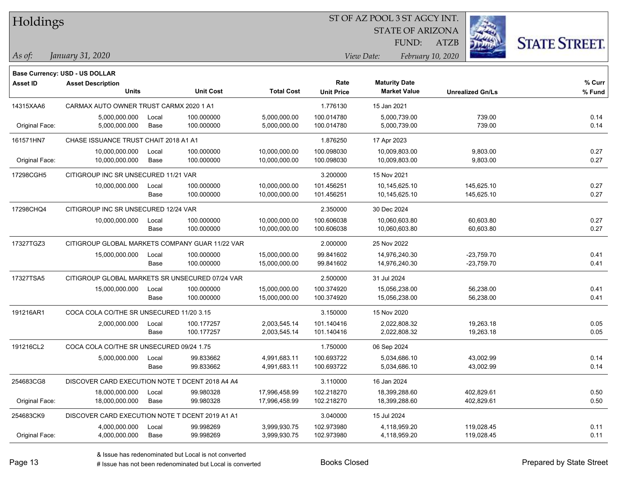| Holdings |
|----------|
|          |

STATE OF ARIZONA

ATZB



**Base Currency: USD - US DOLLAR**

| Asset ID       | <b>Asset Description</b><br><b>Units</b>        |               | <b>Unit Cost</b>         | <b>Total Cost</b>              | Rate<br><b>Unit Price</b> | <b>Maturity Date</b><br><b>Market Value</b> | <b>Unrealized Gn/Ls</b>      | % Curr<br>% Fund |
|----------------|-------------------------------------------------|---------------|--------------------------|--------------------------------|---------------------------|---------------------------------------------|------------------------------|------------------|
| 14315XAA6      | CARMAX AUTO OWNER TRUST CARMX 2020 1 A1         |               |                          |                                | 1.776130                  | 15 Jan 2021                                 |                              |                  |
| Original Face: | 5,000,000.000<br>5,000,000.000                  | Local<br>Base | 100.000000<br>100.000000 | 5,000,000.00<br>5,000,000.00   | 100.014780<br>100.014780  | 5,000,739.00<br>5,000,739.00                | 739.00<br>739.00             | 0.14<br>0.14     |
| 161571HN7      | CHASE ISSUANCE TRUST CHAIT 2018 A1 A1           |               |                          |                                | 1.876250                  | 17 Apr 2023                                 |                              |                  |
| Original Face: | 10,000,000.000<br>10,000,000.000                | Local<br>Base | 100.000000<br>100.000000 | 10,000,000.00<br>10,000,000.00 | 100.098030<br>100.098030  | 10,009,803.00<br>10,009,803.00              | 9,803.00<br>9,803.00         | 0.27<br>0.27     |
| 17298CGH5      | CITIGROUP INC SR UNSECURED 11/21 VAR            |               |                          |                                | 3.200000                  | 15 Nov 2021                                 |                              |                  |
|                | 10,000,000.000                                  | Local<br>Base | 100.000000<br>100.000000 | 10,000,000.00<br>10,000,000.00 | 101.456251<br>101.456251  | 10,145,625.10<br>10,145,625.10              | 145,625.10<br>145,625.10     | 0.27<br>0.27     |
| 17298CHQ4      | CITIGROUP INC SR UNSECURED 12/24 VAR            |               |                          |                                | 2.350000                  | 30 Dec 2024                                 |                              |                  |
|                | 10,000,000.000                                  | Local<br>Base | 100.000000<br>100.000000 | 10,000,000.00<br>10,000,000.00 | 100.606038<br>100.606038  | 10,060,603.80<br>10,060,603.80              | 60,603.80<br>60,603.80       | 0.27<br>0.27     |
| 17327TGZ3      | CITIGROUP GLOBAL MARKETS COMPANY GUAR 11/22 VAR |               |                          | 2.000000                       | 25 Nov 2022               |                                             |                              |                  |
|                | 15,000,000.000                                  | Local<br>Base | 100.000000<br>100.000000 | 15,000,000.00<br>15,000,000.00 | 99.841602<br>99.841602    | 14,976,240.30<br>14,976,240.30              | $-23,759.70$<br>$-23,759.70$ | 0.41<br>0.41     |
| 17327TSA5      | CITIGROUP GLOBAL MARKETS SR UNSECURED 07/24 VAR |               |                          |                                | 2.500000                  | 31 Jul 2024                                 |                              |                  |
|                | 15,000,000.000                                  | Local<br>Base | 100.000000<br>100.000000 | 15,000,000.00<br>15,000,000.00 | 100.374920<br>100.374920  | 15,056,238.00<br>15,056,238.00              | 56,238.00<br>56,238.00       | 0.41<br>0.41     |
| 191216AR1      | COCA COLA CO/THE SR UNSECURED 11/20 3.15        |               |                          |                                | 3.150000                  | 15 Nov 2020                                 |                              |                  |
|                | 2,000,000.000                                   | Local<br>Base | 100.177257<br>100.177257 | 2,003,545.14<br>2,003,545.14   | 101.140416<br>101.140416  | 2,022,808.32<br>2,022,808.32                | 19,263.18<br>19,263.18       | 0.05<br>0.05     |
| 191216CL2      | COCA COLA CO/THE SR UNSECURED 09/24 1.75        |               |                          |                                | 1.750000                  | 06 Sep 2024                                 |                              |                  |
|                | 5,000,000.000                                   | Local<br>Base | 99.833662<br>99.833662   | 4,991,683.11<br>4,991,683.11   | 100.693722<br>100.693722  | 5,034,686.10<br>5,034,686.10                | 43,002.99<br>43,002.99       | 0.14<br>0.14     |
| 254683CG8      | DISCOVER CARD EXECUTION NOTE T DCENT 2018 A4 A4 |               |                          |                                | 3.110000                  | 16 Jan 2024                                 |                              |                  |
| Original Face: | 18,000,000.000<br>18,000,000.000                | Local<br>Base | 99.980328<br>99.980328   | 17,996,458.99<br>17,996,458.99 | 102.218270<br>102.218270  | 18,399,288.60<br>18,399,288.60              | 402,829.61<br>402,829.61     | 0.50<br>0.50     |
| 254683CK9      | DISCOVER CARD EXECUTION NOTE T DCENT 2019 A1 A1 |               |                          |                                | 3.040000                  | 15 Jul 2024                                 |                              |                  |
| Original Face: | 4,000,000.000<br>4,000,000.000                  | Local<br>Base | 99.998269<br>99.998269   | 3,999,930.75<br>3,999,930.75   | 102.973980<br>102.973980  | 4,118,959.20<br>4,118,959.20                | 119,028.45<br>119,028.45     | 0.11<br>0.11     |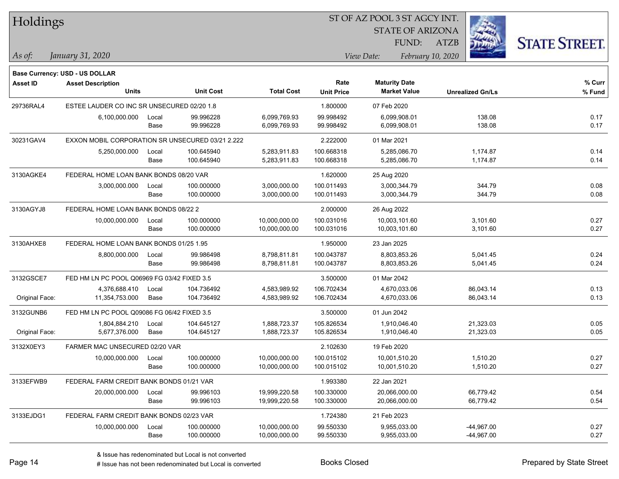| Holdings        |                                                                   |       |                  |                   |                   | ST OF AZ POOL 3 ST AGCY INT. |                         |              |                      |
|-----------------|-------------------------------------------------------------------|-------|------------------|-------------------|-------------------|------------------------------|-------------------------|--------------|----------------------|
|                 |                                                                   |       |                  |                   |                   | <b>STATE OF ARIZONA</b>      |                         |              |                      |
|                 |                                                                   |       |                  |                   |                   | FUND:                        | <b>ATZB</b>             |              | <b>STATE STREET.</b> |
| $ $ As of:      | January 31, 2020                                                  |       |                  |                   |                   | View Date:                   | February 10, 2020       |              |                      |
|                 |                                                                   |       |                  |                   |                   |                              |                         |              |                      |
| <b>Asset ID</b> | <b>Base Currency: USD - US DOLLAR</b><br><b>Asset Description</b> |       |                  |                   | Rate              | <b>Maturity Date</b>         |                         |              | $%$ Curr             |
|                 | <b>Units</b>                                                      |       | <b>Unit Cost</b> | <b>Total Cost</b> | <b>Unit Price</b> | <b>Market Value</b>          | <b>Unrealized Gn/Ls</b> |              | % Fund               |
| 29736RAL4       | ESTEE LAUDER CO INC SR UNSECURED 02/20 1.8                        |       |                  |                   | 1.800000          | 07 Feb 2020                  |                         |              |                      |
|                 | 6,100,000.000                                                     | Local | 99.996228        | 6,099,769.93      | 99.998492         | 6,099,908.01                 |                         | 138.08       | 0.17                 |
|                 |                                                                   | Base  | 99.996228        | 6,099,769.93      | 99.998492         | 6,099,908.01                 |                         | 138.08       | 0.17                 |
| 30231GAV4       | EXXON MOBIL CORPORATION SR UNSECURED 03/21 2.222                  |       |                  |                   | 2.222000          | 01 Mar 2021                  |                         |              |                      |
|                 | 5,250,000.000                                                     | Local | 100.645940       | 5,283,911.83      | 100.668318        | 5,285,086.70                 |                         | 1,174.87     | 0.14                 |
|                 |                                                                   | Base  | 100.645940       | 5,283,911.83      | 100.668318        | 5,285,086.70                 |                         | 1,174.87     | 0.14                 |
| 3130AGKE4       | FEDERAL HOME LOAN BANK BONDS 08/20 VAR                            |       |                  |                   | 1.620000          | 25 Aug 2020                  |                         |              |                      |
|                 | 3,000,000.000                                                     | Local | 100.000000       | 3,000,000.00      | 100.011493        | 3,000,344.79                 |                         | 344.79       | 0.08                 |
|                 |                                                                   | Base  | 100.000000       | 3,000,000.00      | 100.011493        | 3,000,344.79                 |                         | 344.79       | 0.08                 |
| 3130AGYJ8       | FEDERAL HOME LOAN BANK BONDS 08/22 2                              |       |                  |                   | 2.000000          | 26 Aug 2022                  |                         |              |                      |
|                 | 10,000,000.000                                                    | Local | 100.000000       | 10,000,000.00     | 100.031016        | 10,003,101.60                |                         | 3,101.60     | 0.27                 |
|                 |                                                                   | Base  | 100.000000       | 10,000,000.00     | 100.031016        | 10,003,101.60                |                         | 3,101.60     | 0.27                 |
| 3130AHXE8       | FEDERAL HOME LOAN BANK BONDS 01/25 1.95                           |       |                  |                   | 1.950000          | 23 Jan 2025                  |                         |              |                      |
|                 | 8,800,000.000                                                     | Local | 99.986498        | 8,798,811.81      | 100.043787        | 8,803,853.26                 |                         | 5,041.45     | 0.24                 |
|                 |                                                                   | Base  | 99.986498        | 8,798,811.81      | 100.043787        | 8,803,853.26                 |                         | 5,041.45     | 0.24                 |
| 3132GSCE7       | FED HM LN PC POOL Q06969 FG 03/42 FIXED 3.5                       |       |                  |                   | 3.500000          | 01 Mar 2042                  |                         |              |                      |
|                 | 4,376,688.410                                                     | Local | 104.736492       | 4,583,989.92      | 106.702434        | 4,670,033.06                 |                         | 86,043.14    | 0.13                 |
| Original Face:  | 11,354,753.000                                                    | Base  | 104.736492       | 4,583,989.92      | 106.702434        | 4,670,033.06                 |                         | 86,043.14    | 0.13                 |
| 3132GUNB6       | FED HM LN PC POOL Q09086 FG 06/42 FIXED 3.5                       |       |                  |                   | 3.500000          | 01 Jun 2042                  |                         |              |                      |
|                 | 1,804,884.210                                                     | Local | 104.645127       | 1,888,723.37      | 105.826534        | 1,910,046.40                 |                         | 21,323.03    | 0.05                 |
| Original Face:  | 5,677,376.000                                                     | Base  | 104.645127       | 1,888,723.37      | 105.826534        | 1,910,046.40                 |                         | 21,323.03    | 0.05                 |
| 3132X0EY3       | FARMER MAC UNSECURED 02/20 VAR                                    |       |                  |                   | 2.102630          | 19 Feb 2020                  |                         |              |                      |
|                 | 10,000,000.000                                                    | Local | 100.000000       | 10,000,000.00     | 100.015102        | 10,001,510.20                |                         | 1,510.20     | 0.27                 |
|                 |                                                                   | Base  | 100.000000       | 10,000,000.00     | 100.015102        | 10,001,510.20                |                         | 1,510.20     | 0.27                 |
| 3133EFWB9       | FEDERAL FARM CREDIT BANK BONDS 01/21 VAR                          |       |                  |                   | 1.993380          | 22 Jan 2021                  |                         |              |                      |
|                 | 20,000,000.000                                                    | Local | 99.996103        | 19,999,220.58     | 100.330000        | 20,066,000.00                |                         | 66,779.42    | 0.54                 |
|                 |                                                                   | Base  | 99.996103        | 19,999,220.58     | 100.330000        | 20,066,000.00                |                         | 66,779.42    | 0.54                 |
| 3133EJDG1       | FEDERAL FARM CREDIT BANK BONDS 02/23 VAR                          |       |                  |                   | 1.724380          | 21 Feb 2023                  |                         |              |                      |
|                 | 10,000,000.000                                                    | Local | 100.000000       | 10,000,000.00     | 99.550330         | 9,955,033.00                 |                         | $-44,967.00$ | 0.27                 |
|                 |                                                                   | Base  | 100.000000       | 10,000,000.00     | 99.550330         | 9,955,033.00                 |                         | -44,967.00   | 0.27                 |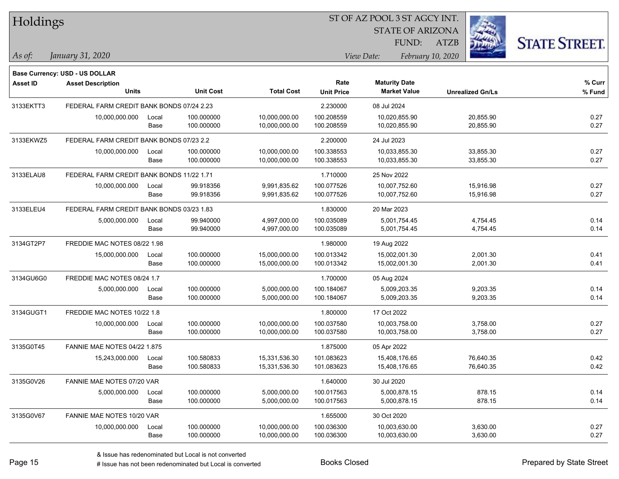| Holdings        |                                                            |       |                  | ST OF AZ POOL 3 ST AGCY INT. |                   |                         |                         |                      |  |
|-----------------|------------------------------------------------------------|-------|------------------|------------------------------|-------------------|-------------------------|-------------------------|----------------------|--|
|                 |                                                            |       |                  |                              |                   | <b>STATE OF ARIZONA</b> |                         |                      |  |
|                 |                                                            |       |                  |                              |                   | FUND:                   | <b>ATZB</b>             | <b>STATE STREET.</b> |  |
| As of:          | January 31, 2020                                           |       |                  |                              |                   | View Date:              | February 10, 2020       |                      |  |
|                 |                                                            |       |                  |                              |                   |                         |                         |                      |  |
| <b>Asset ID</b> | Base Currency: USD - US DOLLAR<br><b>Asset Description</b> |       |                  |                              | Rate              | <b>Maturity Date</b>    |                         | % Curr               |  |
|                 | <b>Units</b>                                               |       | <b>Unit Cost</b> | <b>Total Cost</b>            | <b>Unit Price</b> | <b>Market Value</b>     | <b>Unrealized Gn/Ls</b> | $%$ Fund             |  |
| 3133EKTT3       | FEDERAL FARM CREDIT BANK BONDS 07/24 2.23                  |       |                  |                              | 2.230000          | 08 Jul 2024             |                         |                      |  |
|                 | 10,000,000.000                                             | Local | 100.000000       | 10,000,000.00                | 100.208559        | 10,020,855.90           | 20,855.90               | 0.27                 |  |
|                 |                                                            | Base  | 100.000000       | 10,000,000.00                | 100.208559        | 10,020,855.90           | 20,855.90               | 0.27                 |  |
| 3133EKWZ5       | FEDERAL FARM CREDIT BANK BONDS 07/23 2.2                   |       |                  |                              | 2.200000          | 24 Jul 2023             |                         |                      |  |
|                 | 10,000,000.000                                             | Local | 100.000000       | 10,000,000.00                | 100.338553        | 10,033,855.30           | 33,855.30               | 0.27                 |  |
|                 |                                                            | Base  | 100.000000       | 10,000,000.00                | 100.338553        | 10,033,855.30           | 33,855.30               | 0.27                 |  |
| 3133ELAU8       | FEDERAL FARM CREDIT BANK BONDS 11/22 1.71                  |       |                  |                              | 1.710000          | 25 Nov 2022             |                         |                      |  |
|                 | 10,000,000.000                                             | Local | 99.918356        | 9,991,835.62                 | 100.077526        | 10,007,752.60           | 15,916.98               | 0.27                 |  |
|                 |                                                            | Base  | 99.918356        | 9,991,835.62                 | 100.077526        | 10,007,752.60           | 15,916.98               | 0.27                 |  |
| 3133ELEU4       | FEDERAL FARM CREDIT BANK BONDS 03/23 1.83                  |       |                  |                              | 1.830000          | 20 Mar 2023             |                         |                      |  |
|                 | 5,000,000.000                                              | Local | 99.940000        | 4,997,000.00                 | 100.035089        | 5.001.754.45            | 4,754.45                | 0.14                 |  |
|                 |                                                            | Base  | 99.940000        | 4,997,000.00                 | 100.035089        | 5,001,754.45            | 4,754.45                | 0.14                 |  |
| 3134GT2P7       | FREDDIE MAC NOTES 08/22 1.98                               |       |                  |                              | 1.980000          | 19 Aug 2022             |                         |                      |  |
|                 | 15,000,000.000                                             | Local | 100.000000       | 15,000,000.00                | 100.013342        | 15,002,001.30           | 2,001.30                | 0.41                 |  |
|                 |                                                            | Base  | 100.000000       | 15,000,000.00                | 100.013342        | 15,002,001.30           | 2,001.30                | 0.41                 |  |
| 3134GU6G0       | FREDDIE MAC NOTES 08/24 1.7                                |       |                  |                              | 1.700000          | 05 Aug 2024             |                         |                      |  |
|                 | 5,000,000.000                                              | Local | 100.000000       | 5,000,000.00                 | 100.184067        | 5,009,203.35            | 9,203.35                | 0.14                 |  |
|                 |                                                            | Base  | 100.000000       | 5,000,000.00                 | 100.184067        | 5,009,203.35            | 9,203.35                | 0.14                 |  |
| 3134GUGT1       | FREDDIE MAC NOTES 10/22 1.8                                |       |                  |                              | 1.800000          | 17 Oct 2022             |                         |                      |  |
|                 | 10,000,000.000                                             | Local | 100.000000       | 10,000,000.00                | 100.037580        | 10,003,758.00           | 3,758.00                | 0.27                 |  |
|                 |                                                            | Base  | 100.000000       | 10,000,000.00                | 100.037580        | 10,003,758.00           | 3,758.00                | 0.27                 |  |
| 3135G0T45       | <b>FANNIE MAE NOTES 04/22 1.875</b>                        |       |                  |                              | 1.875000          | 05 Apr 2022             |                         |                      |  |
|                 | 15,243,000.000                                             | Local | 100.580833       | 15,331,536.30                | 101.083623        | 15,408,176.65           | 76,640.35               | 0.42                 |  |
|                 |                                                            | Base  | 100.580833       | 15,331,536.30                | 101.083623        | 15,408,176.65           | 76,640.35               | 0.42                 |  |
| 3135G0V26       | FANNIE MAE NOTES 07/20 VAR                                 |       |                  |                              | 1.640000          | 30 Jul 2020             |                         |                      |  |
|                 | 5,000,000.000                                              | Local | 100.000000       | 5,000,000.00                 | 100.017563        | 5,000,878.15            | 878.15                  | 0.14                 |  |
|                 |                                                            | Base  | 100.000000       | 5,000,000.00                 | 100.017563        | 5,000,878.15            | 878.15                  | 0.14                 |  |
| 3135G0V67       | FANNIE MAE NOTES 10/20 VAR                                 |       |                  |                              | 1.655000          | 30 Oct 2020             |                         |                      |  |
|                 | 10,000,000.000                                             | Local | 100.000000       | 10,000,000.00                | 100.036300        | 10,003,630.00           | 3,630.00                | 0.27                 |  |
|                 |                                                            | Base  | 100.000000       | 10,000,000.00                | 100.036300        | 10,003,630.00           | 3,630.00                | 0.27                 |  |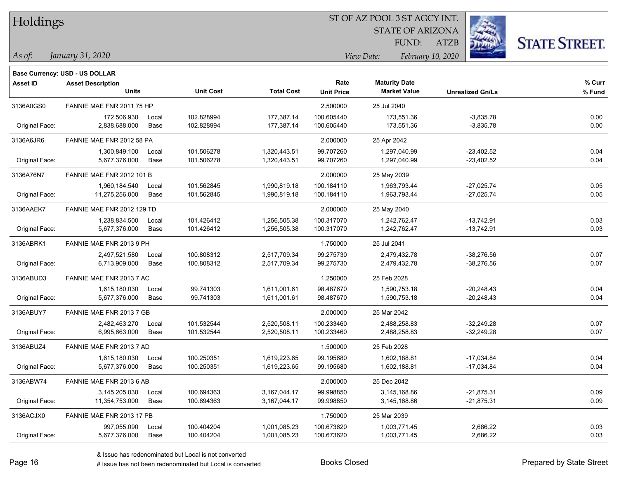| Holdings |
|----------|
|          |

STATE OF ARIZONA FUND:

ATZB



*As of: View Date: February 10, 2020*

| As of: | January 31, 2020 |  |
|--------|------------------|--|
|        |                  |  |

|                 | <b>Base Currency: USD - US DOLLAR</b> |       |                  |                   |                   |                      |                         |        |
|-----------------|---------------------------------------|-------|------------------|-------------------|-------------------|----------------------|-------------------------|--------|
| <b>Asset ID</b> | <b>Asset Description</b>              |       |                  |                   | Rate              | <b>Maturity Date</b> |                         | % Curr |
|                 | <b>Units</b>                          |       | <b>Unit Cost</b> | <b>Total Cost</b> | <b>Unit Price</b> | <b>Market Value</b>  | <b>Unrealized Gn/Ls</b> | % Fund |
| 3136A0GS0       | FANNIE MAE FNR 2011 75 HP             |       |                  |                   | 2.500000          | 25 Jul 2040          |                         |        |
|                 | 172,506.930                           | Local | 102.828994       | 177,387.14        | 100.605440        | 173,551.36           | $-3,835.78$             | 0.00   |
| Original Face:  | 2,838,688.000                         | Base  | 102.828994       | 177,387.14        | 100.605440        | 173,551.36           | $-3,835.78$             | 0.00   |
| 3136A6JR6       | FANNIE MAE FNR 2012 58 PA             |       |                  |                   | 2.000000          | 25 Apr 2042          |                         |        |
|                 | 1,300,849.100                         | Local | 101.506278       | 1,320,443.51      | 99.707260         | 1,297,040.99         | $-23,402.52$            | 0.04   |
| Original Face:  | 5,677,376.000                         | Base  | 101.506278       | 1,320,443.51      | 99.707260         | 1,297,040.99         | $-23,402.52$            | 0.04   |
| 3136A76N7       | <b>FANNIE MAE FNR 2012 101 B</b>      |       |                  |                   | 2.000000          | 25 May 2039          |                         |        |
|                 | 1,960,184.540                         | Local | 101.562845       | 1,990,819.18      | 100.184110        | 1,963,793.44         | $-27,025.74$            | 0.05   |
| Original Face:  | 11,275,256.000                        | Base  | 101.562845       | 1,990,819.18      | 100.184110        | 1,963,793.44         | $-27,025.74$            | 0.05   |
| 3136AAEK7       | FANNIE MAE FNR 2012 129 TD            |       |                  |                   | 2.000000          | 25 May 2040          |                         |        |
|                 | 1,238,834.500                         | Local | 101.426412       | 1,256,505.38      | 100.317070        | 1,242,762.47         | $-13,742.91$            | 0.03   |
| Original Face:  | 5,677,376.000                         | Base  | 101.426412       | 1,256,505.38      | 100.317070        | 1,242,762.47         | $-13,742.91$            | 0.03   |
| 3136ABRK1       | FANNIE MAE FNR 2013 9 PH              |       |                  |                   | 1.750000          | 25 Jul 2041          |                         |        |
|                 | 2,497,521.580                         | Local | 100.808312       | 2,517,709.34      | 99.275730         | 2,479,432.78         | $-38,276.56$            | 0.07   |
| Original Face:  | 6,713,909.000                         | Base  | 100.808312       | 2,517,709.34      | 99.275730         | 2,479,432.78         | $-38,276.56$            | 0.07   |
| 3136ABUD3       | FANNIE MAE FNR 2013 7 AC              |       |                  |                   | 1.250000          | 25 Feb 2028          |                         |        |
|                 | 1,615,180.030                         | Local | 99.741303        | 1,611,001.61      | 98.487670         | 1,590,753.18         | $-20,248.43$            | 0.04   |
| Original Face:  | 5,677,376.000                         | Base  | 99.741303        | 1,611,001.61      | 98.487670         | 1,590,753.18         | $-20,248.43$            | 0.04   |
| 3136ABUY7       | FANNIE MAE FNR 2013 7 GB              |       |                  |                   | 2.000000          | 25 Mar 2042          |                         |        |
|                 | 2,482,463.270                         | Local | 101.532544       | 2,520,508.11      | 100.233460        | 2,488,258.83         | $-32,249.28$            | 0.07   |
| Original Face:  | 6,995,663.000                         | Base  | 101.532544       | 2,520,508.11      | 100.233460        | 2,488,258.83         | $-32,249.28$            | 0.07   |
| 3136ABUZ4       | FANNIE MAE FNR 2013 7 AD              |       |                  |                   | 1.500000          | 25 Feb 2028          |                         |        |
|                 | 1,615,180.030                         | Local | 100.250351       | 1,619,223.65      | 99.195680         | 1,602,188.81         | $-17,034.84$            | 0.04   |
| Original Face:  | 5,677,376.000                         | Base  | 100.250351       | 1,619,223.65      | 99.195680         | 1,602,188.81         | $-17,034.84$            | 0.04   |
| 3136ABW74       | FANNIE MAE FNR 2013 6 AB              |       |                  |                   | 2.000000          | 25 Dec 2042          |                         |        |
|                 | 3,145,205.030                         | Local | 100.694363       | 3,167,044.17      | 99.998850         | 3,145,168.86         | $-21,875.31$            | 0.09   |
| Original Face:  | 11,354,753.000                        | Base  | 100.694363       | 3,167,044.17      | 99.998850         | 3,145,168.86         | $-21,875.31$            | 0.09   |
| 3136ACJX0       | FANNIE MAE FNR 2013 17 PB             |       |                  |                   | 1.750000          | 25 Mar 2039          |                         |        |
|                 | 997,055.090                           | Local | 100.404204       | 1,001,085.23      | 100.673620        | 1,003,771.45         | 2,686.22                | 0.03   |
| Original Face:  | 5,677,376.000                         | Base  | 100.404204       | 1,001,085.23      | 100.673620        | 1,003,771.45         | 2,686.22                | 0.03   |
|                 |                                       |       |                  |                   |                   |                      |                         |        |

& Issue has redenominated but Local is not converted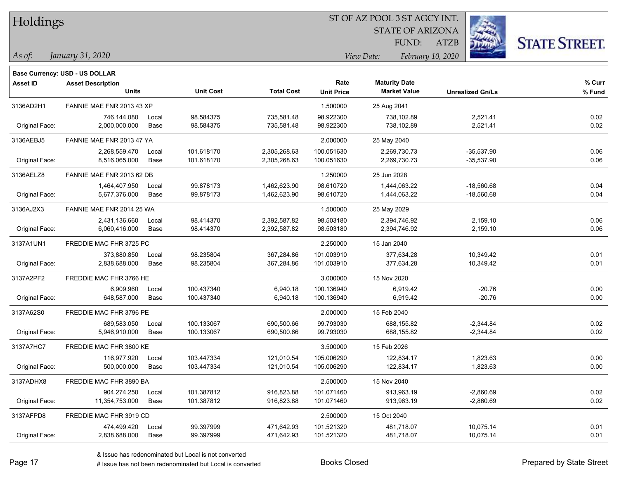| Holdings |
|----------|
|          |

STATE OF ARIZONA FUND:

ATZB



*As of: View Date: February 10, 2020*

| As of: | January 31, 2020 |  |
|--------|------------------|--|
|        |                  |  |

| <b>Asset ID</b> | <b>Asset Description</b>  |       |                  |                   | Rate              | <b>Maturity Date</b> |                         | % Curr |
|-----------------|---------------------------|-------|------------------|-------------------|-------------------|----------------------|-------------------------|--------|
|                 | <b>Units</b>              |       | <b>Unit Cost</b> | <b>Total Cost</b> | <b>Unit Price</b> | <b>Market Value</b>  | <b>Unrealized Gn/Ls</b> | % Fund |
| 3136AD2H1       | FANNIE MAE FNR 2013 43 XP |       |                  |                   | 1.500000          | 25 Aug 2041          |                         |        |
|                 | 746,144.080               | Local | 98.584375        | 735,581.48        | 98.922300         | 738,102.89           | 2,521.41                | 0.02   |
| Original Face:  | 2,000,000.000             | Base  | 98.584375        | 735,581.48        | 98.922300         | 738,102.89           | 2,521.41                | 0.02   |
| 3136AEBJ5       | FANNIE MAE FNR 2013 47 YA |       |                  |                   | 2.000000          | 25 May 2040          |                         |        |
|                 | 2,268,559.470             | Local | 101.618170       | 2,305,268.63      | 100.051630        | 2,269,730.73         | $-35,537.90$            | 0.06   |
| Original Face:  | 8,516,065.000             | Base  | 101.618170       | 2,305,268.63      | 100.051630        | 2,269,730.73         | $-35,537.90$            | 0.06   |
| 3136AELZ8       | FANNIE MAE FNR 2013 62 DB |       |                  |                   | 1.250000          | 25 Jun 2028          |                         |        |
|                 | 1,464,407.950             | Local | 99.878173        | 1,462,623.90      | 98.610720         | 1,444,063.22         | $-18,560.68$            | 0.04   |
| Original Face:  | 5,677,376.000             | Base  | 99.878173        | 1,462,623.90      | 98.610720         | 1,444,063.22         | $-18,560.68$            | 0.04   |
| 3136AJ2X3       | FANNIE MAE FNR 2014 25 WA |       |                  |                   | 1.500000          | 25 May 2029          |                         |        |
|                 | 2,431,136.660             | Local | 98.414370        | 2,392,587.82      | 98.503180         | 2,394,746.92         | 2,159.10                | 0.06   |
| Original Face:  | 6,060,416.000             | Base  | 98.414370        | 2,392,587.82      | 98.503180         | 2,394,746.92         | 2,159.10                | 0.06   |
| 3137A1UN1       | FREDDIE MAC FHR 3725 PC   |       |                  |                   | 2.250000          | 15 Jan 2040          |                         |        |
|                 | 373,880.850               | Local | 98.235804        | 367,284.86        | 101.003910        | 377,634.28           | 10,349.42               | 0.01   |
| Original Face:  | 2,838,688.000             | Base  | 98.235804        | 367,284.86        | 101.003910        | 377,634.28           | 10,349.42               | 0.01   |
| 3137A2PF2       | FREDDIE MAC FHR 3766 HE   |       |                  |                   | 3.000000          | 15 Nov 2020          |                         |        |
|                 | 6,909.960                 | Local | 100.437340       | 6,940.18          | 100.136940        | 6,919.42             | $-20.76$                | 0.00   |
| Original Face:  | 648,587.000               | Base  | 100.437340       | 6,940.18          | 100.136940        | 6,919.42             | $-20.76$                | 0.00   |
| 3137A62S0       | FREDDIE MAC FHR 3796 PE   |       |                  |                   | 2.000000          | 15 Feb 2040          |                         |        |
|                 | 689,583.050               | Local | 100.133067       | 690,500.66        | 99.793030         | 688,155.82           | $-2,344.84$             | 0.02   |
| Original Face:  | 5,946,910.000             | Base  | 100.133067       | 690,500.66        | 99.793030         | 688,155.82           | $-2,344.84$             | 0.02   |
| 3137A7HC7       | FREDDIE MAC FHR 3800 KE   |       |                  |                   | 3.500000          | 15 Feb 2026          |                         |        |
|                 | 116,977.920               | Local | 103.447334       | 121,010.54        | 105.006290        | 122,834.17           | 1,823.63                | 0.00   |
| Original Face:  | 500,000.000               | Base  | 103.447334       | 121,010.54        | 105.006290        | 122,834.17           | 1,823.63                | 0.00   |
| 3137ADHX8       | FREDDIE MAC FHR 3890 BA   |       |                  |                   | 2.500000          | 15 Nov 2040          |                         |        |
|                 | 904,274.250               | Local | 101.387812       | 916,823.88        | 101.071460        | 913,963.19           | $-2,860.69$             | 0.02   |
| Original Face:  | 11,354,753.000            | Base  | 101.387812       | 916,823.88        | 101.071460        | 913,963.19           | $-2,860.69$             | 0.02   |
| 3137AFPD8       | FREDDIE MAC FHR 3919 CD   |       |                  |                   | 2.500000          | 15 Oct 2040          |                         |        |
|                 | 474,499.420               | Local | 99.397999        | 471,642.93        | 101.521320        | 481,718.07           | 10,075.14               | 0.01   |
| Original Face:  | 2,838,688.000             | Base  | 99.397999        | 471,642.93        | 101.521320        | 481,718.07           | 10,075.14               | 0.01   |

A ISSUE ISSUE ISSUE ISSUE ISSUE ISSUE ISSUE ISSUE ISSUE ISSUE ISSUE ISSUE ISSUE ISSUE ISSUE ISSUE ISSUE ISSUE I<br>
# Issue has not been redenominated but Local is converted **BOOKS** Closed **Prepared by State Street**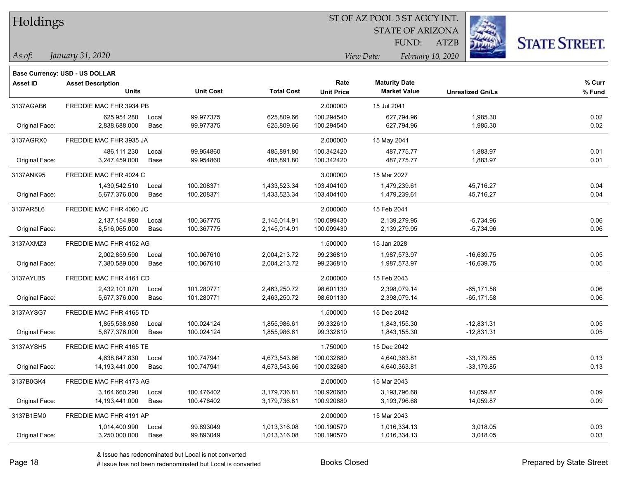| Holdings |
|----------|
|          |

STATE OF ARIZONA FUND:

ATZB



*As of: View Date: February 10, 2020*

| As of: | January 31, 2020 |  |
|--------|------------------|--|
|        |                  |  |

|                 | <b>Base Currency: USD - US DOLLAR</b>    |               |                          |                              |                           |                                             |                                |                  |
|-----------------|------------------------------------------|---------------|--------------------------|------------------------------|---------------------------|---------------------------------------------|--------------------------------|------------------|
| <b>Asset ID</b> | <b>Asset Description</b><br><b>Units</b> |               | <b>Unit Cost</b>         | <b>Total Cost</b>            | Rate<br><b>Unit Price</b> | <b>Maturity Date</b><br><b>Market Value</b> | <b>Unrealized Gn/Ls</b>        | % Curr<br>% Fund |
| 3137AGAB6       | FREDDIE MAC FHR 3934 PB                  |               |                          |                              | 2.000000                  | 15 Jul 2041                                 |                                |                  |
| Original Face:  | 625,951.280<br>2,838,688.000             | Local<br>Base | 99.977375<br>99.977375   | 625,809.66<br>625,809.66     | 100.294540<br>100.294540  | 627,794.96<br>627,794.96                    | 1,985.30<br>1,985.30           | 0.02<br>0.02     |
| 3137AGRX0       | FREDDIE MAC FHR 3935 JA                  |               |                          |                              | 2.000000                  | 15 May 2041                                 |                                |                  |
| Original Face:  | 486,111.230<br>3,247,459.000             | Local<br>Base | 99.954860<br>99.954860   | 485,891.80<br>485,891.80     | 100.342420<br>100.342420  | 487,775.77<br>487,775.77                    | 1,883.97<br>1,883.97           | 0.01<br>0.01     |
| 3137ANK95       | FREDDIE MAC FHR 4024 C                   |               |                          |                              | 3.000000                  | 15 Mar 2027                                 |                                |                  |
| Original Face:  | 1,430,542.510<br>5,677,376.000           | Local<br>Base | 100.208371<br>100.208371 | 1,433,523.34<br>1,433,523.34 | 103.404100<br>103.404100  | 1,479,239.61<br>1,479,239.61                | 45,716.27<br>45,716.27         | 0.04<br>0.04     |
| 3137AR5L6       | FREDDIE MAC FHR 4060 JC                  |               |                          |                              | 2.000000                  | 15 Feb 2041                                 |                                |                  |
| Original Face:  | 2,137,154.980<br>8,516,065.000           | Local<br>Base | 100.367775<br>100.367775 | 2,145,014.91<br>2,145,014.91 | 100.099430<br>100.099430  | 2,139,279.95<br>2,139,279.95                | $-5,734.96$<br>$-5,734.96$     | 0.06<br>0.06     |
| 3137AXMZ3       | FREDDIE MAC FHR 4152 AG                  |               |                          |                              | 1.500000                  | 15 Jan 2028                                 |                                |                  |
| Original Face:  | 2,002,859.590<br>7,380,589.000           | Local<br>Base | 100.067610<br>100.067610 | 2,004,213.72<br>2,004,213.72 | 99.236810<br>99.236810    | 1,987,573.97<br>1,987,573.97                | $-16,639.75$<br>$-16,639.75$   | 0.05<br>0.05     |
| 3137AYLB5       | FREDDIE MAC FHR 4161 CD                  |               |                          |                              | 2.000000                  | 15 Feb 2043                                 |                                |                  |
| Original Face:  | 2,432,101.070<br>5,677,376.000           | Local<br>Base | 101.280771<br>101.280771 | 2,463,250.72<br>2,463,250.72 | 98.601130<br>98.601130    | 2,398,079.14<br>2,398,079.14                | $-65, 171.58$<br>$-65, 171.58$ | 0.06<br>0.06     |
| 3137AYSG7       | FREDDIE MAC FHR 4165 TD                  |               |                          |                              | 1.500000                  | 15 Dec 2042                                 |                                |                  |
| Original Face:  | 1,855,538.980<br>5,677,376.000           | Local<br>Base | 100.024124<br>100.024124 | 1,855,986.61<br>1,855,986.61 | 99.332610<br>99.332610    | 1,843,155.30<br>1,843,155.30                | $-12,831.31$<br>$-12,831.31$   | 0.05<br>0.05     |
| 3137AYSH5       | FREDDIE MAC FHR 4165 TE                  |               |                          |                              | 1.750000                  | 15 Dec 2042                                 |                                |                  |
| Original Face:  | 4,638,847.830<br>14,193,441.000          | Local<br>Base | 100.747941<br>100.747941 | 4,673,543.66<br>4,673,543.66 | 100.032680<br>100.032680  | 4,640,363.81<br>4,640,363.81                | $-33,179.85$<br>$-33,179.85$   | 0.13<br>0.13     |
| 3137B0GK4       | FREDDIE MAC FHR 4173 AG                  |               |                          |                              | 2.000000                  | 15 Mar 2043                                 |                                |                  |
| Original Face:  | 3,164,660.290<br>14, 193, 441.000        | Local<br>Base | 100.476402<br>100.476402 | 3,179,736.81<br>3,179,736.81 | 100.920680<br>100.920680  | 3,193,796.68<br>3,193,796.68                | 14,059.87<br>14,059.87         | 0.09<br>0.09     |
| 3137B1EM0       | FREDDIE MAC FHR 4191 AP                  |               |                          |                              | 2.000000                  | 15 Mar 2043                                 |                                |                  |
| Original Face:  | 1,014,400.990<br>3,250,000.000           | Local<br>Base | 99.893049<br>99.893049   | 1,013,316.08<br>1,013,316.08 | 100.190570<br>100.190570  | 1,016,334.13<br>1,016,334.13                | 3,018.05<br>3,018.05           | 0.03<br>0.03     |
|                 |                                          |               |                          |                              |                           |                                             |                                |                  |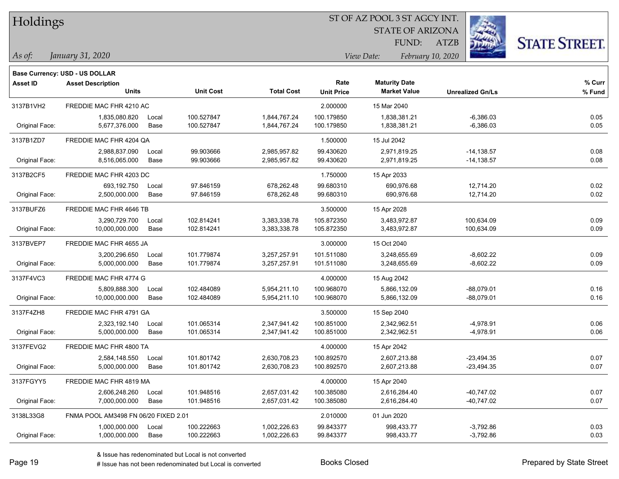| Holdings |
|----------|
|          |

STATE OF ARIZONA FUND:

ATZB



*As of: View Date: February 10, 2020*

| s of: | January 31, 2020 |
|-------|------------------|
|       |                  |

|                 | <b>Base Currency: USD - US DOLLAR</b> |       |                  |                   |                   |                      |                         |        |
|-----------------|---------------------------------------|-------|------------------|-------------------|-------------------|----------------------|-------------------------|--------|
| <b>Asset ID</b> | <b>Asset Description</b>              |       |                  |                   | Rate              | <b>Maturity Date</b> |                         | % Curr |
|                 | <b>Units</b>                          |       | <b>Unit Cost</b> | <b>Total Cost</b> | <b>Unit Price</b> | <b>Market Value</b>  | <b>Unrealized Gn/Ls</b> | % Fund |
| 3137B1VH2       | FREDDIE MAC FHR 4210 AC               |       |                  |                   | 2.000000          | 15 Mar 2040          |                         |        |
|                 | 1,835,080.820                         | Local | 100.527847       | 1,844,767.24      | 100.179850        | 1,838,381.21         | $-6,386.03$             | 0.05   |
| Original Face:  | 5,677,376.000                         | Base  | 100.527847       | 1,844,767.24      | 100.179850        | 1,838,381.21         | $-6,386.03$             | 0.05   |
| 3137B1ZD7       | FREDDIE MAC FHR 4204 QA               |       |                  |                   | 1.500000          | 15 Jul 2042          |                         |        |
|                 | 2,988,837.090                         | Local | 99.903666        | 2,985,957.82      | 99.430620         | 2,971,819.25         | $-14,138.57$            | 0.08   |
| Original Face:  | 8,516,065.000                         | Base  | 99.903666        | 2,985,957.82      | 99.430620         | 2,971,819.25         | $-14,138.57$            | 0.08   |
| 3137B2CF5       | FREDDIE MAC FHR 4203 DC               |       |                  |                   | 1.750000          | 15 Apr 2033          |                         |        |
|                 | 693,192.750                           | Local | 97.846159        | 678,262.48        | 99.680310         | 690,976.68           | 12,714.20               | 0.02   |
| Original Face:  | 2,500,000.000                         | Base  | 97.846159        | 678,262.48        | 99.680310         | 690,976.68           | 12,714.20               | 0.02   |
| 3137BUFZ6       | FREDDIE MAC FHR 4646 TB               |       |                  |                   | 3.500000          | 15 Apr 2028          |                         |        |
|                 | 3,290,729.700                         | Local | 102.814241       | 3,383,338.78      | 105.872350        | 3,483,972.87         | 100,634.09              | 0.09   |
| Original Face:  | 10,000,000.000                        | Base  | 102.814241       | 3,383,338.78      | 105.872350        | 3,483,972.87         | 100,634.09              | 0.09   |
| 3137BVEP7       | FREDDIE MAC FHR 4655 JA               |       |                  |                   | 3.000000          | 15 Oct 2040          |                         |        |
|                 | 3,200,296.650                         | Local | 101.779874       | 3,257,257.91      | 101.511080        | 3,248,655.69         | $-8,602.22$             | 0.09   |
| Original Face:  | 5,000,000.000                         | Base  | 101.779874       | 3,257,257.91      | 101.511080        | 3,248,655.69         | $-8,602.22$             | 0.09   |
| 3137F4VC3       | FREDDIE MAC FHR 4774 G                |       |                  |                   | 4.000000          | 15 Aug 2042          |                         |        |
|                 | 5,809,888.300                         | Local | 102.484089       | 5,954,211.10      | 100.968070        | 5,866,132.09         | $-88,079.01$            | 0.16   |
| Original Face:  | 10,000,000.000                        | Base  | 102.484089       | 5,954,211.10      | 100.968070        | 5,866,132.09         | $-88,079.01$            | 0.16   |
| 3137F4ZH8       | FREDDIE MAC FHR 4791 GA               |       |                  |                   | 3.500000          | 15 Sep 2040          |                         |        |
|                 | 2,323,192.140                         | Local | 101.065314       | 2,347,941.42      | 100.851000        | 2,342,962.51         | $-4,978.91$             | 0.06   |
| Original Face:  | 5,000,000.000                         | Base  | 101.065314       | 2,347,941.42      | 100.851000        | 2,342,962.51         | $-4,978.91$             | 0.06   |
| 3137FEVG2       | FREDDIE MAC FHR 4800 TA               |       |                  |                   | 4.000000          | 15 Apr 2042          |                         |        |
|                 | 2,584,148.550                         | Local | 101.801742       | 2,630,708.23      | 100.892570        | 2,607,213.88         | $-23,494.35$            | 0.07   |
| Original Face:  | 5,000,000.000                         | Base  | 101.801742       | 2,630,708.23      | 100.892570        | 2,607,213.88         | $-23,494.35$            | 0.07   |
| 3137FGYY5       | FREDDIE MAC FHR 4819 MA               |       |                  |                   | 4.000000          | 15 Apr 2040          |                         |        |
|                 | 2,606,248.260                         | Local | 101.948516       | 2,657,031.42      | 100.385080        | 2,616,284.40         | $-40,747.02$            | 0.07   |
| Original Face:  | 7,000,000.000                         | Base  | 101.948516       | 2,657,031.42      | 100.385080        | 2,616,284.40         | $-40,747.02$            | 0.07   |
| 3138L33G8       | FNMA POOL AM3498 FN 06/20 FIXED 2.01  |       |                  |                   | 2.010000          | 01 Jun 2020          |                         |        |
|                 | 1,000,000.000                         | Local | 100.222663       | 1,002,226.63      | 99.843377         | 998,433.77           | $-3,792.86$             | 0.03   |
| Original Face:  | 1,000,000.000                         | Base  | 100.222663       | 1,002,226.63      | 99.843377         | 998,433.77           | $-3,792.86$             | 0.03   |
|                 |                                       |       |                  |                   |                   |                      |                         |        |

& Issue has redenominated but Local is not converted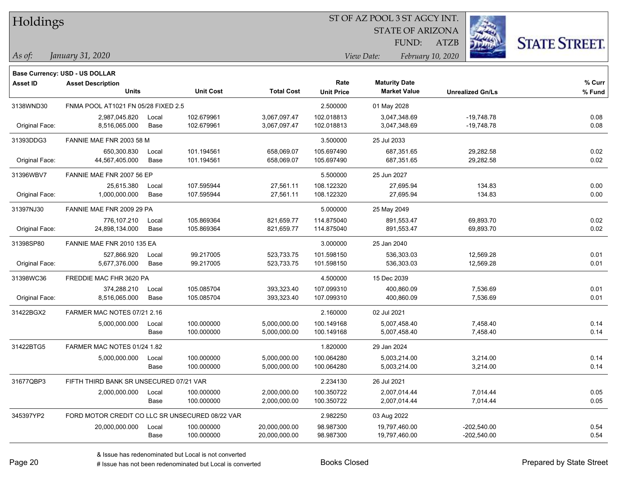| Holdings |
|----------|
|          |

STATE OF ARIZONA

ATZB



**Base Currency: USD - US DOLLAR**

| <b>Asset ID</b> | <b>Asset Description</b><br><b>Units</b>        |       | <b>Unit Cost</b> | <b>Total Cost</b> | Rate<br><b>Unit Price</b> | <b>Maturity Date</b><br><b>Market Value</b> | <b>Unrealized Gn/Ls</b> | % Curr<br>% Fund |
|-----------------|-------------------------------------------------|-------|------------------|-------------------|---------------------------|---------------------------------------------|-------------------------|------------------|
| 3138WND30       | FNMA POOL AT1021 FN 05/28 FIXED 2.5             |       |                  |                   | 2.500000                  | 01 May 2028                                 |                         |                  |
|                 | 2,987,045.820                                   | Local | 102.679961       | 3,067,097.47      | 102.018813                | 3,047,348.69                                | $-19,748.78$            | 0.08             |
| Original Face:  | 8,516,065.000                                   | Base  | 102.679961       | 3,067,097.47      | 102.018813                | 3,047,348.69                                | $-19,748.78$            | 0.08             |
| 31393DDG3       | FANNIE MAE FNR 2003 58 M                        |       |                  |                   | 3.500000                  | 25 Jul 2033                                 |                         |                  |
|                 | 650,300.830                                     | Local | 101.194561       | 658,069.07        | 105.697490                | 687,351.65                                  | 29,282.58               | 0.02             |
| Original Face:  | 44,567,405.000                                  | Base  | 101.194561       | 658,069.07        | 105.697490                | 687,351.65                                  | 29,282.58               | 0.02             |
| 31396WBV7       | FANNIE MAE FNR 2007 56 EP                       |       |                  |                   | 5.500000                  | 25 Jun 2027                                 |                         |                  |
|                 | 25,615.380                                      | Local | 107.595944       | 27,561.11         | 108.122320                | 27,695.94                                   | 134.83                  | 0.00             |
| Original Face:  | 1,000,000.000                                   | Base  | 107.595944       | 27,561.11         | 108.122320                | 27,695.94                                   | 134.83                  | 0.00             |
| 31397NJ30       | FANNIE MAE FNR 2009 29 PA                       |       |                  |                   | 5.000000                  | 25 May 2049                                 |                         |                  |
|                 | 776,107.210                                     | Local | 105.869364       | 821,659.77        | 114.875040                | 891,553.47                                  | 69,893.70               | 0.02             |
| Original Face:  | 24,898,134.000                                  | Base  | 105.869364       | 821,659.77        | 114.875040                | 891,553.47                                  | 69,893.70               | 0.02             |
| 31398SP80       | FANNIE MAE FNR 2010 135 EA                      |       |                  |                   | 3.000000                  | 25 Jan 2040                                 |                         |                  |
|                 | 527,866.920                                     | Local | 99.217005        | 523,733.75        | 101.598150                | 536,303.03                                  | 12,569.28               | 0.01             |
| Original Face:  | 5,677,376.000                                   | Base  | 99.217005        | 523,733.75        | 101.598150                | 536,303.03                                  | 12,569.28               | 0.01             |
| 31398WC36       | FREDDIE MAC FHR 3620 PA                         |       |                  |                   | 4.500000                  | 15 Dec 2039                                 |                         |                  |
|                 | 374,288.210                                     | Local | 105.085704       | 393,323.40        | 107.099310                | 400,860.09                                  | 7,536.69                | 0.01             |
| Original Face:  | 8,516,065.000                                   | Base  | 105.085704       | 393,323.40        | 107.099310                | 400,860.09                                  | 7,536.69                | 0.01             |
| 31422BGX2       | FARMER MAC NOTES 07/21 2.16                     |       |                  |                   | 2.160000                  | 02 Jul 2021                                 |                         |                  |
|                 | 5,000,000.000                                   | Local | 100.000000       | 5,000,000.00      | 100.149168                | 5,007,458.40                                | 7,458.40                | 0.14             |
|                 |                                                 | Base  | 100.000000       | 5,000,000.00      | 100.149168                | 5,007,458.40                                | 7,458.40                | 0.14             |
| 31422BTG5       | FARMER MAC NOTES 01/24 1.82                     |       |                  |                   | 1.820000                  | 29 Jan 2024                                 |                         |                  |
|                 | 5,000,000.000                                   | Local | 100.000000       | 5,000,000.00      | 100.064280                | 5,003,214.00                                | 3,214.00                | 0.14             |
|                 |                                                 | Base  | 100.000000       | 5,000,000.00      | 100.064280                | 5,003,214.00                                | 3,214.00                | 0.14             |
| 31677QBP3       | FIFTH THIRD BANK SR UNSECURED 07/21 VAR         |       |                  |                   | 2.234130                  | 26 Jul 2021                                 |                         |                  |
|                 | 2,000,000.000                                   | Local | 100.000000       | 2,000,000.00      | 100.350722                | 2.007.014.44                                | 7,014.44                | 0.05             |
|                 |                                                 | Base  | 100.000000       | 2,000,000.00      | 100.350722                | 2,007,014.44                                | 7,014.44                | 0.05             |
| 345397YP2       | FORD MOTOR CREDIT CO LLC SR UNSECURED 08/22 VAR |       |                  |                   | 2.982250                  | 03 Aug 2022                                 |                         |                  |
|                 | 20,000,000.000                                  | Local | 100.000000       | 20,000,000.00     | 98.987300                 | 19,797,460.00                               | $-202,540.00$           | 0.54             |
|                 |                                                 | Base  | 100.000000       | 20,000,000.00     | 98.987300                 | 19,797,460.00                               | $-202,540.00$           | 0.54             |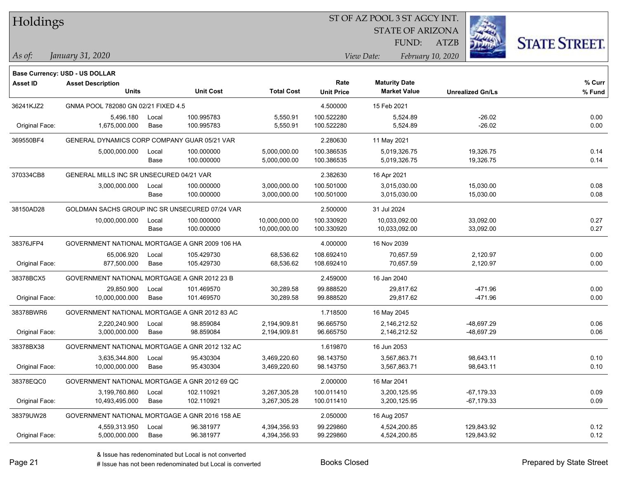| <b>Holdings</b> |  |
|-----------------|--|
|-----------------|--|

STATE OF ARIZONA

ATZB



**Base Currency: USD - US DOLLAR**

| <b>Asset ID</b> | <b>Asset Description</b>                       |       |                  |                   | Rate              | <b>Maturity Date</b> |                         | % Curr |
|-----------------|------------------------------------------------|-------|------------------|-------------------|-------------------|----------------------|-------------------------|--------|
|                 | <b>Units</b>                                   |       | <b>Unit Cost</b> | <b>Total Cost</b> | <b>Unit Price</b> | <b>Market Value</b>  | <b>Unrealized Gn/Ls</b> | % Fund |
| 36241KJZ2       | GNMA POOL 782080 GN 02/21 FIXED 4.5            |       |                  |                   | 4.500000          | 15 Feb 2021          |                         |        |
|                 | 5,496.180                                      | Local | 100.995783       | 5,550.91          | 100.522280        | 5,524.89             | $-26.02$                | 0.00   |
| Original Face:  | 1,675,000.000                                  | Base  | 100.995783       | 5,550.91          | 100.522280        | 5,524.89             | $-26.02$                | 0.00   |
| 369550BF4       | GENERAL DYNAMICS CORP COMPANY GUAR 05/21 VAR   |       |                  |                   | 2.280630          | 11 May 2021          |                         |        |
|                 | 5,000,000.000                                  | Local | 100.000000       | 5,000,000.00      | 100.386535        | 5,019,326.75         | 19,326.75               | 0.14   |
|                 |                                                | Base  | 100.000000       | 5,000,000.00      | 100.386535        | 5,019,326.75         | 19,326.75               | 0.14   |
| 370334CB8       | GENERAL MILLS INC SR UNSECURED 04/21 VAR       |       |                  |                   | 2.382630          | 16 Apr 2021          |                         |        |
|                 | 3,000,000.000                                  | Local | 100.000000       | 3,000,000.00      | 100.501000        | 3,015,030.00         | 15,030.00               | 0.08   |
|                 |                                                | Base  | 100.000000       | 3,000,000.00      | 100.501000        | 3,015,030.00         | 15,030.00               | 0.08   |
| 38150AD28       | GOLDMAN SACHS GROUP INC SR UNSECURED 07/24 VAR |       |                  |                   | 2.500000          | 31 Jul 2024          |                         |        |
|                 | 10,000,000.000                                 | Local | 100.000000       | 10,000,000.00     | 100.330920        | 10,033,092.00        | 33,092.00               | 0.27   |
|                 |                                                | Base  | 100.000000       | 10,000,000.00     | 100.330920        | 10,033,092.00        | 33,092.00               | 0.27   |
| 38376JFP4       | GOVERNMENT NATIONAL MORTGAGE A GNR 2009 106 HA |       |                  |                   | 4.000000          | 16 Nov 2039          |                         |        |
|                 | 65,006.920                                     | Local | 105.429730       | 68,536.62         | 108.692410        | 70,657.59            | 2,120.97                | 0.00   |
| Original Face:  | 877,500.000                                    | Base  | 105.429730       | 68,536.62         | 108.692410        | 70,657.59            | 2,120.97                | 0.00   |
| 38378BCX5       | GOVERNMENT NATIONAL MORTGAGE A GNR 2012 23 B   |       |                  |                   | 2.459000          | 16 Jan 2040          |                         |        |
|                 | 29,850.900                                     | Local | 101.469570       | 30,289.58         | 99.888520         | 29,817.62            | $-471.96$               | 0.00   |
| Original Face:  | 10,000,000.000                                 | Base  | 101.469570       | 30,289.58         | 99.888520         | 29,817.62            | $-471.96$               | 0.00   |
| 38378BWR6       | GOVERNMENT NATIONAL MORTGAGE A GNR 2012 83 AC  |       |                  |                   | 1.718500          | 16 May 2045          |                         |        |
|                 | 2,220,240.900                                  | Local | 98.859084        | 2,194,909.81      | 96.665750         | 2,146,212.52         | -48,697.29              | 0.06   |
| Original Face:  | 3,000,000.000                                  | Base  | 98.859084        | 2,194,909.81      | 96.665750         | 2,146,212.52         | -48,697.29              | 0.06   |
| 38378BX38       | GOVERNMENT NATIONAL MORTGAGE A GNR 2012 132 AC |       |                  |                   | 1.619870          | 16 Jun 2053          |                         |        |
|                 | 3,635,344.800                                  | Local | 95.430304        | 3,469,220.60      | 98.143750         | 3,567,863.71         | 98,643.11               | 0.10   |
| Original Face:  | 10,000,000.000                                 | Base  | 95.430304        | 3,469,220.60      | 98.143750         | 3,567,863.71         | 98,643.11               | 0.10   |
| 38378EQC0       | GOVERNMENT NATIONAL MORTGAGE A GNR 2012 69 QC  |       |                  |                   | 2.000000          | 16 Mar 2041          |                         |        |
|                 | 3,199,760.860                                  | Local | 102.110921       | 3,267,305.28      | 100.011410        | 3,200,125.95         | $-67, 179.33$           | 0.09   |
| Original Face:  | 10,493,495.000                                 | Base  | 102.110921       | 3,267,305.28      | 100.011410        | 3,200,125.95         | -67,179.33              | 0.09   |
| 38379UW28       | GOVERNMENT NATIONAL MORTGAGE A GNR 2016 158 AE |       |                  |                   | 2.050000          | 16 Aug 2057          |                         |        |
|                 | 4,559,313.950                                  | Local | 96.381977        | 4,394,356.93      | 99.229860         | 4,524,200.85         | 129,843.92              | 0.12   |
| Original Face:  | 5,000,000.000                                  | Base  | 96.381977        | 4,394,356.93      | 99.229860         | 4,524,200.85         | 129,843.92              | 0.12   |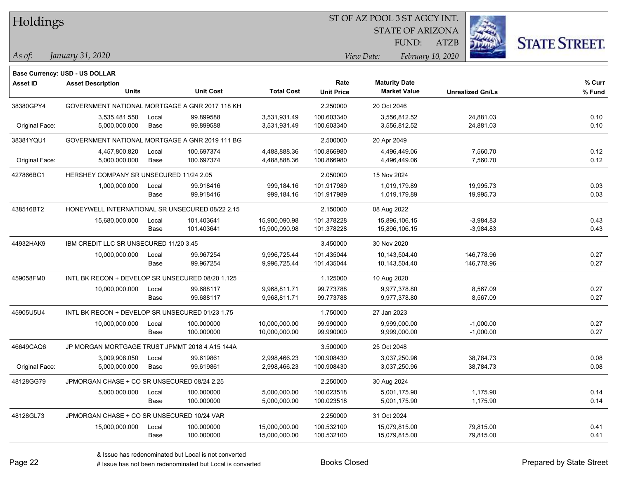| Holdings |
|----------|
|----------|

STATE OF ARIZONA

ATZB



**Base Currency: USD - US DOLLAR**

| Asset ID       | <b>Asset Description</b><br><b>Units</b>         |               | <b>Unit Cost</b>         | <b>Total Cost</b>            | Rate<br><b>Unit Price</b> | <b>Maturity Date</b><br><b>Market Value</b> | <b>Unrealized Gn/Ls</b> | % Curr<br>% Fund |
|----------------|--------------------------------------------------|---------------|--------------------------|------------------------------|---------------------------|---------------------------------------------|-------------------------|------------------|
| 38380GPY4      | GOVERNMENT NATIONAL MORTGAGE A GNR 2017 118 KH   |               |                          |                              | 2.250000                  | 20 Oct 2046                                 |                         |                  |
| Original Face: | 3,535,481.550<br>5,000,000.000                   | Local<br>Base | 99.899588<br>99.899588   | 3,531,931.49<br>3,531,931.49 | 100.603340<br>100.603340  | 3,556,812.52<br>3,556,812.52                | 24,881.03<br>24,881.03  | 0.10<br>0.10     |
| 38381YQU1      | GOVERNMENT NATIONAL MORTGAGE A GNR 2019 111 BG   |               |                          |                              | 2.500000                  | 20 Apr 2049                                 |                         |                  |
| Original Face: | 4,457,800.820<br>5,000,000.000                   | Local<br>Base | 100.697374<br>100.697374 | 4,488,888.36<br>4,488,888.36 | 100.866980<br>100.866980  | 4,496,449.06<br>4,496,449.06                | 7,560.70<br>7,560.70    | 0.12<br>0.12     |
|                |                                                  |               |                          |                              |                           |                                             |                         |                  |
| 427866BC1      | HERSHEY COMPANY SR UNSECURED 11/24 2.05          |               |                          |                              | 2.050000                  | 15 Nov 2024                                 |                         |                  |
|                | 1,000,000.000                                    | Local<br>Base | 99.918416<br>99.918416   | 999,184.16<br>999,184.16     | 101.917989<br>101.917989  | 1,019,179.89<br>1,019,179.89                | 19,995.73<br>19,995.73  | 0.03<br>0.03     |
| 438516BT2      | HONEYWELL INTERNATIONAL SR UNSECURED 08/22 2.15  |               |                          |                              | 2.150000                  | 08 Aug 2022                                 |                         |                  |
|                | 15,680,000.000                                   | Local         | 101.403641               | 15,900,090.98                | 101.378228                | 15,896,106.15                               | $-3,984.83$             | 0.43             |
|                |                                                  | Base          | 101.403641               | 15,900,090.98                | 101.378228                | 15,896,106.15                               | $-3,984.83$             | 0.43             |
| 44932HAK9      | IBM CREDIT LLC SR UNSECURED 11/20 3.45           |               |                          |                              | 3.450000                  | 30 Nov 2020                                 |                         |                  |
|                | 10,000,000.000                                   | Local         | 99.967254                | 9,996,725.44                 | 101.435044                | 10,143,504.40                               | 146,778.96              | 0.27             |
|                |                                                  | Base          | 99.967254                | 9,996,725.44                 | 101.435044                | 10,143,504.40                               | 146,778.96              | 0.27             |
| 459058FM0      | INTL BK RECON + DEVELOP SR UNSECURED 08/20 1.125 |               |                          |                              | 1.125000                  | 10 Aug 2020                                 |                         |                  |
|                | 10,000,000.000                                   | Local         | 99.688117                | 9,968,811.71                 | 99.773788                 | 9,977,378.80                                | 8,567.09                | 0.27             |
|                |                                                  | Base          | 99.688117                | 9,968,811.71                 | 99.773788                 | 9,977,378.80                                | 8,567.09                | 0.27             |
| 45905U5U4      | INTL BK RECON + DEVELOP SR UNSECURED 01/23 1.75  |               |                          |                              | 1.750000                  | 27 Jan 2023                                 |                         |                  |
|                | 10,000,000.000                                   | Local         | 100.000000               | 10,000,000.00                | 99.990000                 | 9,999,000.00                                | $-1,000.00$             | 0.27             |
|                |                                                  | Base          | 100.000000               | 10,000,000.00                | 99.990000                 | 9,999,000.00                                | $-1,000.00$             | 0.27             |
| 46649CAQ6      | JP MORGAN MORTGAGE TRUST JPMMT 2018 4 A15 144A   |               |                          |                              | 3.500000                  | 25 Oct 2048                                 |                         |                  |
|                | 3,009,908.050                                    | Local         | 99.619861                | 2,998,466.23                 | 100.908430                | 3,037,250.96                                | 38,784.73               | 0.08             |
| Original Face: | 5,000,000.000                                    | Base          | 99.619861                | 2,998,466.23                 | 100.908430                | 3,037,250.96                                | 38,784.73               | 0.08             |
| 48128GG79      | JPMORGAN CHASE + CO SR UNSECURED 08/24 2.25      |               |                          |                              | 2.250000                  | 30 Aug 2024                                 |                         |                  |
|                | 5,000,000.000                                    | Local         | 100.000000               | 5,000,000.00                 | 100.023518                | 5,001,175.90                                | 1,175.90                | 0.14             |
|                |                                                  | Base          | 100.000000               | 5,000,000.00                 | 100.023518                | 5,001,175.90                                | 1,175.90                | 0.14             |
| 48128GL73      | JPMORGAN CHASE + CO SR UNSECURED 10/24 VAR       |               |                          |                              | 2.250000                  | 31 Oct 2024                                 |                         |                  |
|                | 15,000,000.000                                   | Local         | 100.000000               | 15,000,000.00                | 100.532100                | 15,079,815.00                               | 79,815.00               | 0.41             |
|                |                                                  | Base          | 100.000000               | 15,000,000.00                | 100.532100                | 15,079,815.00                               | 79,815.00               | 0.41             |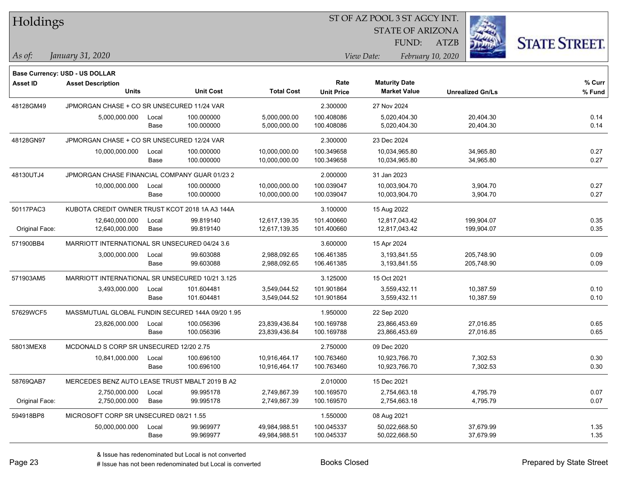| Holdings        |                                                  |       |                  |                   | ST OF AZ POOL 3 ST AGCY INT. |             |                         |                   |                         |                      |  |
|-----------------|--------------------------------------------------|-------|------------------|-------------------|------------------------------|-------------|-------------------------|-------------------|-------------------------|----------------------|--|
|                 |                                                  |       |                  |                   |                              |             | <b>STATE OF ARIZONA</b> |                   |                         |                      |  |
|                 |                                                  |       |                  |                   |                              |             | FUND:                   | <b>ATZB</b>       |                         | <b>STATE STREET.</b> |  |
| As of:          | January 31, 2020                                 |       |                  |                   |                              | View Date:  |                         | February 10, 2020 |                         |                      |  |
|                 | <b>Base Currency: USD - US DOLLAR</b>            |       |                  |                   |                              |             |                         |                   |                         |                      |  |
| <b>Asset ID</b> | <b>Asset Description</b>                         |       |                  |                   | Rate                         |             | <b>Maturity Date</b>    |                   |                         | $%$ Curr             |  |
|                 | <b>Units</b>                                     |       | <b>Unit Cost</b> | <b>Total Cost</b> | <b>Unit Price</b>            |             | <b>Market Value</b>     |                   | <b>Unrealized Gn/Ls</b> | % Fund               |  |
| 48128GM49       | JPMORGAN CHASE + CO SR UNSECURED 11/24 VAR       |       |                  |                   | 2.300000                     |             | 27 Nov 2024             |                   |                         |                      |  |
|                 | 5,000,000.000                                    | Local | 100.000000       | 5,000,000.00      | 100.408086                   |             | 5,020,404.30            |                   | 20,404.30               | 0.14                 |  |
|                 |                                                  | Base  | 100.000000       | 5,000,000.00      | 100.408086                   |             | 5,020,404.30            |                   | 20,404.30               | 0.14                 |  |
| 48128GN97       | JPMORGAN CHASE + CO SR UNSECURED 12/24 VAR       |       |                  |                   | 2.300000                     |             | 23 Dec 2024             |                   |                         |                      |  |
|                 | 10,000,000.000                                   | Local | 100.000000       | 10,000,000.00     | 100.349658                   |             | 10,034,965.80           |                   | 34,965.80               | 0.27                 |  |
|                 |                                                  | Base  | 100.000000       | 10,000,000.00     | 100.349658                   |             | 10,034,965.80           |                   | 34,965.80               | 0.27                 |  |
| 48130UTJ4       | JPMORGAN CHASE FINANCIAL COMPANY GUAR 01/23 2    |       |                  |                   | 2.000000                     | 31 Jan 2023 |                         |                   |                         |                      |  |
|                 | 10,000,000.000                                   | Local | 100.000000       | 10,000,000.00     | 100.039047                   |             | 10,003,904.70           |                   | 3,904.70                | 0.27                 |  |
|                 |                                                  | Base  | 100.000000       | 10,000,000.00     | 100.039047                   |             | 10,003,904.70           |                   | 3,904.70                | 0.27                 |  |
| 50117PAC3       | KUBOTA CREDIT OWNER TRUST KCOT 2018 1A A3 144A   |       |                  |                   | 3.100000                     |             | 15 Aug 2022             |                   |                         |                      |  |
|                 | 12,640,000.000                                   | Local | 99.819140        | 12,617,139.35     | 101.400660                   |             | 12,817,043.42           |                   | 199,904.07              | 0.35                 |  |
| Original Face:  | 12,640,000.000                                   | Base  | 99.819140        | 12,617,139.35     | 101.400660                   |             | 12,817,043.42           |                   | 199,904.07              | 0.35                 |  |
| 571900BB4       | MARRIOTT INTERNATIONAL SR UNSECURED 04/24 3.6    |       |                  |                   | 3.600000                     | 15 Apr 2024 |                         |                   |                         |                      |  |
|                 | 3,000,000.000                                    | Local | 99.603088        | 2,988,092.65      | 106.461385                   |             | 3,193,841.55            |                   | 205,748.90              | 0.09                 |  |
|                 |                                                  | Base  | 99.603088        | 2,988,092.65      | 106.461385                   |             | 3,193,841.55            |                   | 205,748.90              | 0.09                 |  |
| 571903AM5       | MARRIOTT INTERNATIONAL SR UNSECURED 10/21 3.125  |       |                  |                   | 3.125000                     | 15 Oct 2021 |                         |                   |                         |                      |  |
|                 | 3,493,000.000                                    | Local | 101.604481       | 3,549,044.52      | 101.901864                   |             | 3,559,432.11            |                   | 10,387.59               | 0.10                 |  |
|                 |                                                  | Base  | 101.604481       | 3,549,044.52      | 101.901864                   |             | 3,559,432.11            |                   | 10,387.59               | 0.10                 |  |
| 57629WCF5       | MASSMUTUAL GLOBAL FUNDIN SECURED 144A 09/20 1.95 |       |                  |                   | 1.950000                     |             | 22 Sep 2020             |                   |                         |                      |  |
|                 | 23,826,000.000                                   | Local | 100.056396       | 23,839,436.84     | 100.169788                   |             | 23,866,453.69           |                   | 27,016.85               | 0.65                 |  |
|                 |                                                  | Base  | 100.056396       | 23,839,436.84     | 100.169788                   |             | 23,866,453.69           |                   | 27,016.85               | 0.65                 |  |
| 58013MEX8       | MCDONALD S CORP SR UNSECURED 12/20 2.75          |       |                  |                   | 2.750000                     |             | 09 Dec 2020             |                   |                         |                      |  |
|                 | 10,841,000.000                                   | Local | 100.696100       | 10,916,464.17     | 100.763460                   |             | 10,923,766.70           |                   | 7,302.53                | 0.30                 |  |
|                 |                                                  | Base  | 100.696100       | 10,916,464.17     | 100.763460                   |             | 10,923,766.70           |                   | 7,302.53                | 0.30                 |  |
| 58769QAB7       | MERCEDES BENZ AUTO LEASE TRUST MBALT 2019 B A2   |       |                  |                   | 2.010000                     |             | 15 Dec 2021             |                   |                         |                      |  |
|                 | 2,750,000.000                                    | Local | 99.995178        | 2,749,867.39      | 100.169570                   |             | 2,754,663.18            |                   | 4,795.79                | 0.07                 |  |
| Original Face:  | 2,750,000.000                                    | Base  | 99.995178        | 2,749,867.39      | 100.169570                   |             | 2,754,663.18            |                   | 4,795.79                | 0.07                 |  |
| 594918BP8       | MICROSOFT CORP SR UNSECURED 08/21 1.55           |       |                  |                   | 1.550000                     |             | 08 Aug 2021             |                   |                         |                      |  |
|                 | 50,000,000.000                                   | Local | 99.969977        | 49,984,988.51     | 100.045337                   |             | 50,022,668.50           |                   | 37,679.99               | 1.35                 |  |
|                 |                                                  | Base  | 99.969977        | 49,984,988.51     | 100.045337                   |             | 50,022,668.50           |                   | 37,679.99               | 1.35                 |  |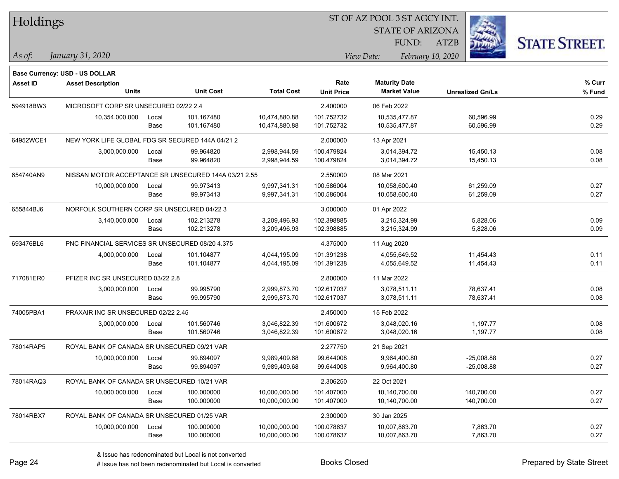| Holdings        |                                                      |       |                  |                   | SI OF AZ POOL 3 SI AGCY IN I. |             |                         |                   |                         |                      |
|-----------------|------------------------------------------------------|-------|------------------|-------------------|-------------------------------|-------------|-------------------------|-------------------|-------------------------|----------------------|
|                 |                                                      |       |                  |                   |                               |             | <b>STATE OF ARIZONA</b> |                   |                         |                      |
|                 |                                                      |       |                  |                   |                               |             | FUND:                   | <b>ATZB</b>       |                         | <b>STATE STREET.</b> |
|                 |                                                      |       |                  |                   |                               |             |                         |                   |                         |                      |
| As of:          | January 31, 2020                                     |       |                  |                   |                               | View Date:  |                         | February 10, 2020 |                         |                      |
|                 | Base Currency: USD - US DOLLAR                       |       |                  |                   |                               |             |                         |                   |                         |                      |
| <b>Asset ID</b> | <b>Asset Description</b>                             |       |                  |                   | Rate                          |             | <b>Maturity Date</b>    |                   |                         | % Curr               |
|                 | <b>Units</b>                                         |       | <b>Unit Cost</b> | <b>Total Cost</b> | <b>Unit Price</b>             |             | <b>Market Value</b>     |                   | <b>Unrealized Gn/Ls</b> | % Fund               |
| 594918BW3       | MICROSOFT CORP SR UNSECURED 02/22 2.4                |       |                  |                   | 2.400000                      | 06 Feb 2022 |                         |                   |                         |                      |
|                 | 10,354,000.000                                       | Local | 101.167480       | 10,474,880.88     | 101.752732                    |             | 10,535,477.87           |                   | 60,596.99               | 0.29                 |
|                 |                                                      | Base  | 101.167480       | 10,474,880.88     | 101.752732                    |             | 10,535,477.87           |                   | 60,596.99               | 0.29                 |
| 64952WCE1       | NEW YORK LIFE GLOBAL FDG SR SECURED 144A 04/21 2     |       |                  |                   | 2.000000                      | 13 Apr 2021 |                         |                   |                         |                      |
|                 | 3,000,000.000                                        | Local | 99.964820        | 2,998,944.59      | 100.479824                    |             | 3,014,394.72            |                   | 15,450.13               | 0.08                 |
|                 |                                                      | Base  | 99.964820        | 2,998,944.59      | 100.479824                    |             | 3,014,394.72            |                   | 15,450.13               | 0.08                 |
| 654740AN9       | NISSAN MOTOR ACCEPTANCE SR UNSECURED 144A 03/21 2.55 |       |                  |                   | 2.550000                      | 08 Mar 2021 |                         |                   |                         |                      |
|                 | 10,000,000.000                                       | Local | 99.973413        | 9,997,341.31      | 100.586004                    |             | 10,058,600.40           |                   | 61,259.09               | 0.27                 |
|                 |                                                      | Base  | 99.973413        | 9,997,341.31      | 100.586004                    |             | 10,058,600.40           |                   | 61,259.09               | 0.27                 |
| 655844BJ6       | NORFOLK SOUTHERN CORP SR UNSECURED 04/22 3           |       |                  |                   | 3.000000                      | 01 Apr 2022 |                         |                   |                         |                      |
|                 | 3,140,000.000                                        | Local | 102.213278       | 3,209,496.93      | 102.398885                    |             | 3,215,324.99            |                   | 5,828.06                | 0.09                 |
|                 |                                                      | Base  | 102.213278       | 3,209,496.93      | 102.398885                    |             | 3,215,324.99            |                   | 5,828.06                | 0.09                 |
| 693476BL6       | PNC FINANCIAL SERVICES SR UNSECURED 08/20 4.375      |       |                  |                   | 4.375000                      | 11 Aug 2020 |                         |                   |                         |                      |
|                 | 4,000,000.000                                        | Local | 101.104877       | 4,044,195.09      | 101.391238                    |             | 4,055,649.52            |                   | 11,454.43               | 0.11                 |
|                 |                                                      | Base  | 101.104877       | 4,044,195.09      | 101.391238                    |             | 4,055,649.52            |                   | 11,454.43               | 0.11                 |
| 717081ER0       | PFIZER INC SR UNSECURED 03/22 2.8                    |       |                  |                   | 2.800000                      | 11 Mar 2022 |                         |                   |                         |                      |
|                 | 3,000,000.000                                        | Local | 99.995790        | 2,999,873.70      | 102.617037                    |             | 3,078,511.11            |                   | 78,637.41               | 0.08                 |
|                 |                                                      | Base  | 99.995790        | 2,999,873.70      | 102.617037                    |             | 3,078,511.11            |                   | 78,637.41               | 0.08                 |
| 74005PBA1       | PRAXAIR INC SR UNSECURED 02/22 2.45                  |       |                  |                   | 2.450000                      | 15 Feb 2022 |                         |                   |                         |                      |
|                 | 3,000,000.000                                        | Local | 101.560746       | 3,046,822.39      | 101.600672                    |             | 3,048,020.16            |                   | 1,197.77                | 0.08                 |
|                 |                                                      | Base  | 101.560746       | 3,046,822.39      | 101.600672                    |             | 3,048,020.16            |                   | 1,197.77                | 0.08                 |
| 78014RAP5       | ROYAL BANK OF CANADA SR UNSECURED 09/21 VAR          |       |                  |                   | 2.277750                      | 21 Sep 2021 |                         |                   |                         |                      |
|                 | 10,000,000.000                                       | Local | 99.894097        | 9,989,409.68      | 99.644008                     |             | 9,964,400.80            |                   | $-25,008.88$            | 0.27                 |
|                 |                                                      | Base  | 99.894097        | 9,989,409.68      | 99.644008                     |             | 9,964,400.80            |                   | $-25,008.88$            | 0.27                 |
| 78014RAQ3       | ROYAL BANK OF CANADA SR UNSECURED 10/21 VAR          |       |                  |                   | 2.306250                      | 22 Oct 2021 |                         |                   |                         |                      |
|                 | 10,000,000.000                                       | Local | 100.000000       | 10,000,000.00     | 101.407000                    |             | 10,140,700.00           |                   | 140,700.00              | 0.27                 |
|                 |                                                      | Base  | 100.000000       | 10,000,000.00     | 101.407000                    |             | 10,140,700.00           |                   | 140,700.00              | 0.27                 |
| 78014RBX7       | ROYAL BANK OF CANADA SR UNSECURED 01/25 VAR          |       |                  |                   | 2.300000                      | 30 Jan 2025 |                         |                   |                         |                      |
|                 | 10,000,000.000                                       | Local | 100.000000       | 10,000,000.00     | 100.078637                    |             | 10,007,863.70           |                   | 7,863.70                | 0.27                 |
|                 |                                                      | Base  | 100.000000       | 10,000,000.00     | 100.078637                    |             | 10,007,863.70           |                   | 7,863.70                | 0.27                 |
|                 |                                                      |       |                  |                   |                               |             |                         |                   |                         |                      |

 $\overline{S}$ 

٦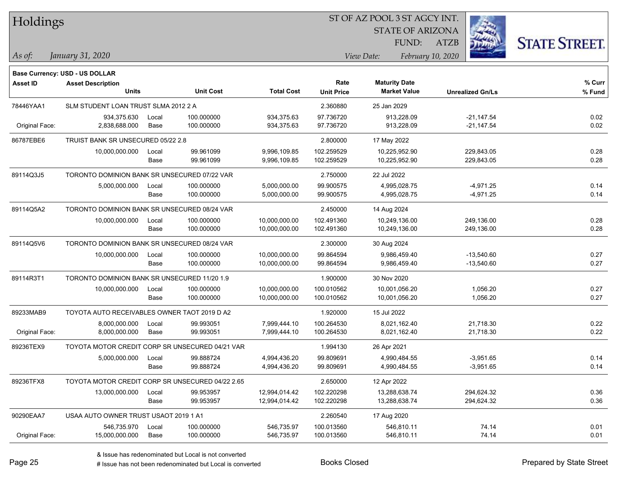| Holdings        |                                                  |       |                  |                   |                   |             | ST OF AZ POOL 3 ST AGCY INT. |                   |                         |                      |
|-----------------|--------------------------------------------------|-------|------------------|-------------------|-------------------|-------------|------------------------------|-------------------|-------------------------|----------------------|
|                 |                                                  |       |                  |                   |                   |             | <b>STATE OF ARIZONA</b>      |                   |                         |                      |
|                 |                                                  |       |                  |                   |                   |             | FUND:                        | <b>ATZB</b>       |                         | <b>STATE STREET.</b> |
| As of:          | January 31, 2020                                 |       |                  |                   |                   | View Date:  |                              | February 10, 2020 |                         |                      |
|                 | Base Currency: USD - US DOLLAR                   |       |                  |                   |                   |             |                              |                   |                         |                      |
| <b>Asset ID</b> | <b>Asset Description</b>                         |       |                  |                   | Rate              |             | <b>Maturity Date</b>         |                   |                         | $%$ Curr             |
|                 | Units                                            |       | <b>Unit Cost</b> | <b>Total Cost</b> | <b>Unit Price</b> |             | <b>Market Value</b>          |                   | <b>Unrealized Gn/Ls</b> | % Fund               |
| 78446YAA1       | SLM STUDENT LOAN TRUST SLMA 2012 2 A             |       |                  |                   | 2.360880          | 25 Jan 2029 |                              |                   |                         |                      |
|                 | 934,375.630                                      | Local | 100.000000       | 934, 375.63       | 97.736720         |             | 913,228.09                   |                   | $-21,147.54$            | 0.02                 |
| Original Face:  | 2,838,688.000                                    | Base  | 100.000000       | 934,375.63        | 97.736720         |             | 913,228.09                   |                   | $-21,147.54$            | 0.02                 |
| 86787EBE6       | TRUIST BANK SR UNSECURED 05/22 2.8               |       |                  |                   | 2.800000          | 17 May 2022 |                              |                   |                         |                      |
|                 | 10,000,000.000                                   | Local | 99.961099        | 9,996,109.85      | 102.259529        |             | 10,225,952.90                |                   | 229,843.05              | 0.28                 |
|                 |                                                  | Base  | 99.961099        | 9,996,109.85      | 102.259529        |             | 10,225,952.90                |                   | 229,843.05              | 0.28                 |
| 89114Q3J5       | TORONTO DOMINION BANK SR UNSECURED 07/22 VAR     |       |                  |                   | 2.750000          | 22 Jul 2022 |                              |                   |                         |                      |
|                 | 5,000,000.000                                    | Local | 100.000000       | 5,000,000.00      | 99.900575         |             | 4,995,028.75                 |                   | $-4,971.25$             | 0.14                 |
|                 |                                                  | Base  | 100.000000       | 5,000,000.00      | 99.900575         |             | 4,995,028.75                 |                   | $-4,971.25$             | 0.14                 |
| 89114Q5A2       | TORONTO DOMINION BANK SR UNSECURED 08/24 VAR     |       |                  |                   | 2.450000          | 14 Aug 2024 |                              |                   |                         |                      |
|                 | 10,000,000.000                                   | Local | 100.000000       | 10,000,000.00     | 102.491360        |             | 10,249,136.00                |                   | 249,136.00              | 0.28                 |
|                 |                                                  | Base  | 100.000000       | 10,000,000.00     | 102.491360        |             | 10,249,136.00                |                   | 249,136.00              | 0.28                 |
| 89114Q5V6       | TORONTO DOMINION BANK SR UNSECURED 08/24 VAR     |       |                  |                   | 2.300000          | 30 Aug 2024 |                              |                   |                         |                      |
|                 | 10,000,000.000                                   | Local | 100.000000       | 10,000,000.00     | 99.864594         |             | 9,986,459.40                 |                   | $-13,540.60$            | 0.27                 |
|                 |                                                  | Base  | 100.000000       | 10,000,000.00     | 99.864594         |             | 9,986,459.40                 |                   | $-13,540.60$            | 0.27                 |
| 89114R3T1       | TORONTO DOMINION BANK SR UNSECURED 11/20 1.9     |       |                  |                   | 1.900000          | 30 Nov 2020 |                              |                   |                         |                      |
|                 | 10,000,000.000                                   | Local | 100.000000       | 10,000,000.00     | 100.010562        |             | 10,001,056.20                |                   | 1,056.20                | 0.27                 |
|                 |                                                  | Base  | 100.000000       | 10,000,000.00     | 100.010562        |             | 10,001,056.20                |                   | 1,056.20                | 0.27                 |
| 89233MAB9       | TOYOTA AUTO RECEIVABLES OWNER TAOT 2019 D A2     |       |                  |                   | 1.920000          | 15 Jul 2022 |                              |                   |                         |                      |
|                 | 8,000,000.000                                    | Local | 99.993051        | 7,999,444.10      | 100.264530        |             | 8,021,162.40                 |                   | 21,718.30               | 0.22                 |
| Original Face:  | 8,000,000.000                                    | Base  | 99.993051        | 7,999,444.10      | 100.264530        |             | 8,021,162.40                 |                   | 21,718.30               | 0.22                 |
| 89236TEX9       | TOYOTA MOTOR CREDIT CORP SR UNSECURED 04/21 VAR  |       |                  |                   | 1.994130          | 26 Apr 2021 |                              |                   |                         |                      |
|                 | 5,000,000.000                                    | Local | 99.888724        | 4,994,436.20      | 99.809691         |             | 4,990,484.55                 |                   | $-3,951.65$             | 0.14                 |
|                 |                                                  | Base  | 99.888724        | 4,994,436.20      | 99.809691         |             | 4,990,484.55                 |                   | $-3,951.65$             | 0.14                 |
| 89236TFX8       | TOYOTA MOTOR CREDIT CORP SR UNSECURED 04/22 2.65 |       |                  |                   | 2.650000          | 12 Apr 2022 |                              |                   |                         |                      |
|                 | 13,000,000.000                                   | Local | 99.953957        | 12,994,014.42     | 102.220298        |             | 13,288,638.74                |                   | 294,624.32              | 0.36                 |
|                 |                                                  | Base  | 99.953957        | 12,994,014.42     | 102.220298        |             | 13,288,638.74                |                   | 294,624.32              | 0.36                 |
| 90290EAA7       | USAA AUTO OWNER TRUST USAOT 2019 1 A1            |       |                  |                   | 2.260540          | 17 Aug 2020 |                              |                   |                         |                      |
|                 | 546,735.970                                      | Local | 100.000000       | 546,735.97        | 100.013560        |             | 546,810.11                   |                   | 74.14                   | 0.01                 |
| Original Face:  | 15,000,000.000                                   | Base  | 100.000000       | 546,735.97        | 100.013560        |             | 546,810.11                   |                   | 74.14                   | 0.01                 |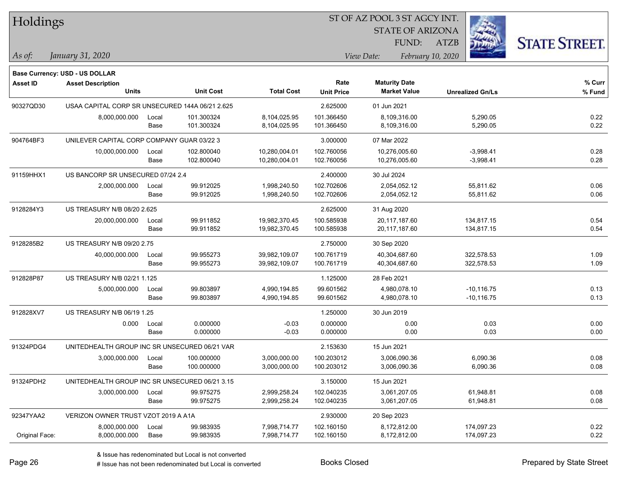| Holdings        |                                                            |       |                  |                   |                   | ST OF AZ POOL 3 ST AGCY INT. |                         |                      |
|-----------------|------------------------------------------------------------|-------|------------------|-------------------|-------------------|------------------------------|-------------------------|----------------------|
|                 |                                                            |       |                  |                   |                   | <b>STATE OF ARIZONA</b>      |                         |                      |
|                 |                                                            |       |                  |                   |                   | FUND:                        | <b>ATZB</b>             | <b>STATE STREET.</b> |
| As of:          | January 31, 2020                                           |       |                  |                   |                   | View Date:                   | February 10, 2020       |                      |
|                 |                                                            |       |                  |                   |                   |                              |                         |                      |
| <b>Asset ID</b> | Base Currency: USD - US DOLLAR<br><b>Asset Description</b> |       |                  |                   | Rate              | <b>Maturity Date</b>         |                         | % Curr               |
|                 | <b>Units</b>                                               |       | <b>Unit Cost</b> | <b>Total Cost</b> | <b>Unit Price</b> | <b>Market Value</b>          | <b>Unrealized Gn/Ls</b> | $%$ Fund             |
| 90327QD30       | USAA CAPITAL CORP SR UNSECURED 144A 06/21 2.625            |       |                  |                   | 2.625000          | 01 Jun 2021                  |                         |                      |
|                 | 8,000,000.000                                              | Local | 101.300324       | 8,104,025.95      | 101.366450        | 8,109,316.00                 | 5,290.05                | 0.22                 |
|                 |                                                            | Base  | 101.300324       | 8,104,025.95      | 101.366450        | 8,109,316.00                 | 5,290.05                | 0.22                 |
| 904764BF3       | UNILEVER CAPITAL CORP COMPANY GUAR 03/22 3                 |       |                  |                   | 3.000000          | 07 Mar 2022                  |                         |                      |
|                 | 10,000,000.000                                             | Local | 102.800040       | 10,280,004.01     | 102.760056        | 10,276,005.60                | $-3,998.41$             | 0.28                 |
|                 |                                                            | Base  | 102.800040       | 10,280,004.01     | 102.760056        | 10,276,005.60                | $-3,998.41$             | 0.28                 |
| 91159HHX1       | US BANCORP SR UNSECURED 07/24 2.4                          |       |                  |                   | 2.400000          | 30 Jul 2024                  |                         |                      |
|                 | 2,000,000.000                                              | Local | 99.912025        | 1,998,240.50      | 102.702606        | 2,054,052.12                 | 55,811.62               | 0.06                 |
|                 |                                                            | Base  | 99.912025        | 1,998,240.50      | 102.702606        | 2,054,052.12                 | 55,811.62               | 0.06                 |
| 9128284Y3       | US TREASURY N/B 08/20 2.625                                |       |                  |                   | 2.625000          | 31 Aug 2020                  |                         |                      |
|                 | 20,000,000.000                                             | Local | 99.911852        | 19,982,370.45     | 100.585938        | 20,117,187.60                | 134,817.15              | 0.54                 |
|                 |                                                            | Base  | 99.911852        | 19,982,370.45     | 100.585938        | 20,117,187.60                | 134,817.15              | 0.54                 |
| 9128285B2       | US TREASURY N/B 09/20 2.75                                 |       |                  |                   | 2.750000          | 30 Sep 2020                  |                         |                      |
|                 | 40,000,000.000                                             | Local | 99.955273        | 39,982,109.07     | 100.761719        | 40,304,687.60                | 322,578.53              | 1.09                 |
|                 |                                                            | Base  | 99.955273        | 39,982,109.07     | 100.761719        | 40,304,687.60                | 322,578.53              | 1.09                 |
| 912828P87       | US TREASURY N/B 02/21 1.125                                |       |                  |                   | 1.125000          | 28 Feb 2021                  |                         |                      |
|                 | 5,000,000.000                                              | Local | 99.803897        | 4,990,194.85      | 99.601562         | 4,980,078.10                 | $-10, 116.75$           | 0.13                 |
|                 |                                                            | Base  | 99.803897        | 4,990,194.85      | 99.601562         | 4,980,078.10                 | $-10,116.75$            | 0.13                 |
| 912828XV7       | US TREASURY N/B 06/19 1.25                                 |       |                  |                   | 1.250000          | 30 Jun 2019                  |                         |                      |
|                 | 0.000                                                      | Local | 0.000000         | $-0.03$           | 0.000000          | 0.00                         | 0.03                    | 0.00                 |
|                 |                                                            | Base  | 0.000000         | $-0.03$           | 0.000000          | 0.00                         | 0.03                    | 0.00                 |
| 91324PDG4       | UNITEDHEALTH GROUP INC SR UNSECURED 06/21 VAR              |       |                  |                   | 2.153630          | 15 Jun 2021                  |                         |                      |
|                 | 3,000,000.000                                              | Local | 100.000000       | 3,000,000.00      | 100.203012        | 3,006,090.36                 | 6,090.36                | 0.08                 |
|                 |                                                            | Base  | 100.000000       | 3,000,000.00      | 100.203012        | 3,006,090.36                 | 6,090.36                | 0.08                 |
| 91324PDH2       | UNITEDHEALTH GROUP INC SR UNSECURED 06/21 3.15             |       |                  |                   | 3.150000          | 15 Jun 2021                  |                         |                      |
|                 | 3,000,000.000                                              | Local | 99.975275        | 2,999,258.24      | 102.040235        | 3,061,207.05                 | 61,948.81               | 0.08                 |
|                 |                                                            | Base  | 99.975275        | 2,999,258.24      | 102.040235        | 3,061,207.05                 | 61,948.81               | 0.08                 |
| 92347YAA2       | VERIZON OWNER TRUST VZOT 2019 A A1A                        |       |                  |                   | 2.930000          | 20 Sep 2023                  |                         |                      |
|                 | 8,000,000.000                                              | Local | 99.983935        | 7,998,714.77      | 102.160150        | 8,172,812.00                 | 174,097.23              | 0.22                 |
| Original Face:  | 8,000,000.000                                              | Base  | 99.983935        | 7,998,714.77      | 102.160150        | 8,172,812.00                 | 174,097.23              | 0.22                 |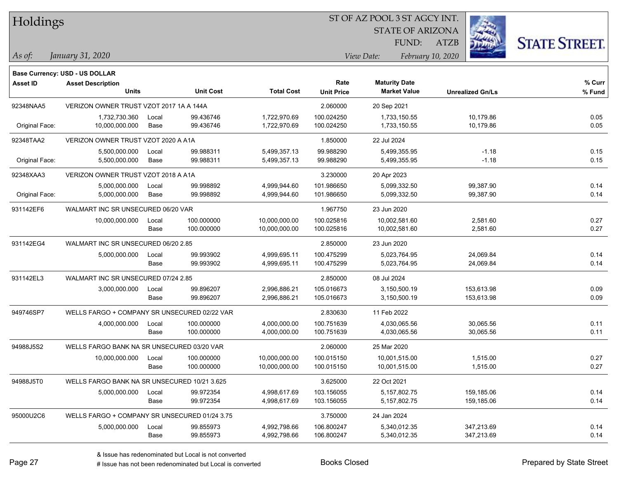| Holdings |
|----------|
|----------|

STATE OF ARIZONA

ATZB



**Base Currency: USD - US DOLLAR**

| <b>Asset ID</b> | <b>Asset Description</b><br><b>Units</b>      |               | <b>Unit Cost</b>         | <b>Total Cost</b>              | Rate<br><b>Unit Price</b> | <b>Maturity Date</b><br><b>Market Value</b> | <b>Unrealized Gn/Ls</b>  | % Curr<br>% Fund |
|-----------------|-----------------------------------------------|---------------|--------------------------|--------------------------------|---------------------------|---------------------------------------------|--------------------------|------------------|
| 92348NAA5       | VERIZON OWNER TRUST VZOT 2017 1A A 144A       |               |                          |                                | 2.060000                  | 20 Sep 2021                                 |                          |                  |
| Original Face:  | 1,732,730.360<br>10,000,000.000               | Local<br>Base | 99.436746<br>99.436746   | 1,722,970.69<br>1,722,970.69   | 100.024250<br>100.024250  | 1,733,150.55<br>1,733,150.55                | 10,179.86<br>10,179.86   | 0.05<br>0.05     |
| 92348TAA2       | VERIZON OWNER TRUST VZOT 2020 A A1A           |               |                          |                                | 1.850000                  | 22 Jul 2024                                 |                          |                  |
| Original Face:  | 5,500,000.000<br>5,500,000.000                | Local<br>Base | 99.988311<br>99.988311   | 5,499,357.13<br>5,499,357.13   | 99.988290<br>99.988290    | 5,499,355.95<br>5,499,355.95                | $-1.18$<br>$-1.18$       | 0.15<br>0.15     |
| 92348XAA3       | VERIZON OWNER TRUST VZOT 2018 A A1A           |               |                          |                                | 3.230000                  | 20 Apr 2023                                 |                          |                  |
| Original Face:  | 5,000,000.000<br>5,000,000.000                | Local<br>Base | 99.998892<br>99.998892   | 4,999,944.60<br>4,999,944.60   | 101.986650<br>101.986650  | 5,099,332.50<br>5,099,332.50                | 99,387.90<br>99,387.90   | 0.14<br>0.14     |
| 931142EF6       | WALMART INC SR UNSECURED 06/20 VAR            |               |                          |                                | 1.967750                  | 23 Jun 2020                                 |                          |                  |
|                 | 10,000,000.000                                | Local<br>Base | 100.000000<br>100.000000 | 10,000,000.00<br>10,000,000.00 | 100.025816<br>100.025816  | 10,002,581.60<br>10,002,581.60              | 2,581.60<br>2,581.60     | 0.27<br>0.27     |
| 931142EG4       | WALMART INC SR UNSECURED 06/20 2.85           |               |                          |                                | 2.850000                  | 23 Jun 2020                                 |                          |                  |
|                 | 5,000,000.000                                 | Local<br>Base | 99.993902<br>99.993902   | 4,999,695.11<br>4,999,695.11   | 100.475299<br>100.475299  | 5,023,764.95<br>5,023,764.95                | 24,069.84<br>24,069.84   | 0.14<br>0.14     |
| 931142EL3       | WALMART INC SR UNSECURED 07/24 2.85           |               |                          |                                | 2.850000                  | 08 Jul 2024                                 |                          |                  |
|                 | 3,000,000.000                                 | Local<br>Base | 99.896207<br>99.896207   | 2,996,886.21<br>2,996,886.21   | 105.016673<br>105.016673  | 3,150,500.19<br>3,150,500.19                | 153,613.98<br>153,613.98 | 0.09<br>0.09     |
| 949746SP7       | WELLS FARGO + COMPANY SR UNSECURED 02/22 VAR  |               |                          |                                | 2.830630                  | 11 Feb 2022                                 |                          |                  |
|                 | 4,000,000.000                                 | Local<br>Base | 100.000000<br>100.000000 | 4,000,000.00<br>4,000,000.00   | 100.751639<br>100.751639  | 4,030,065.56<br>4,030,065.56                | 30,065.56<br>30,065.56   | 0.11<br>0.11     |
| 94988J5S2       | WELLS FARGO BANK NA SR UNSECURED 03/20 VAR    |               |                          |                                | 2.060000                  | 25 Mar 2020                                 |                          |                  |
|                 | 10,000,000.000                                | Local<br>Base | 100.000000<br>100.000000 | 10,000,000.00<br>10,000,000.00 | 100.015150<br>100.015150  | 10,001,515.00<br>10,001,515.00              | 1,515.00<br>1,515.00     | 0.27<br>0.27     |
| 94988J5T0       | WELLS FARGO BANK NA SR UNSECURED 10/21 3.625  |               |                          |                                | 3.625000                  | 22 Oct 2021                                 |                          |                  |
|                 | 5,000,000.000                                 | Local<br>Base | 99.972354<br>99.972354   | 4,998,617.69<br>4,998,617.69   | 103.156055<br>103.156055  | 5,157,802.75<br>5,157,802.75                | 159,185.06<br>159,185.06 | 0.14<br>0.14     |
| 95000U2C6       | WELLS FARGO + COMPANY SR UNSECURED 01/24 3.75 |               |                          |                                | 3.750000                  | 24 Jan 2024                                 |                          |                  |
|                 | 5,000,000.000                                 | Local<br>Base | 99.855973<br>99.855973   | 4,992,798.66<br>4,992,798.66   | 106.800247<br>106.800247  | 5,340,012.35<br>5,340,012.35                | 347,213.69<br>347,213.69 | 0.14<br>0.14     |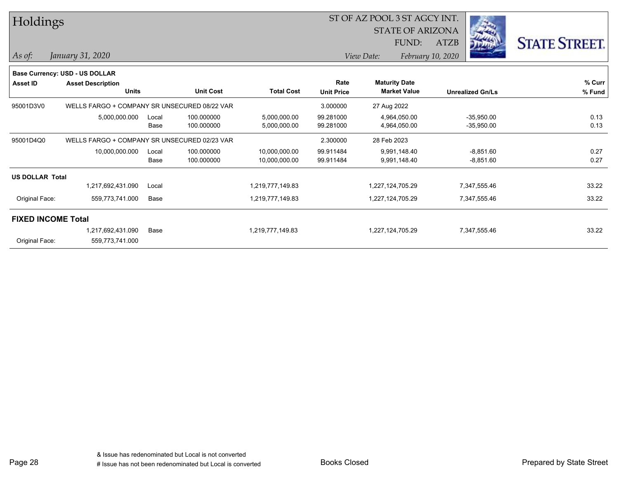| Holdings               |                                              |       |                  |                   |                   | ST OF AZ POOL 3 ST AGCY INT. |                         |      |                         |                      |  |
|------------------------|----------------------------------------------|-------|------------------|-------------------|-------------------|------------------------------|-------------------------|------|-------------------------|----------------------|--|
|                        |                                              |       |                  |                   |                   |                              | <b>STATE OF ARIZONA</b> |      |                         |                      |  |
|                        |                                              |       |                  |                   |                   |                              | FUND:                   | ATZB |                         | <b>STATE STREET.</b> |  |
| $\vert$ As of:         | January 31, 2020                             |       |                  |                   |                   | View Date:                   | February 10, 2020       |      |                         |                      |  |
|                        | Base Currency: USD - US DOLLAR               |       |                  |                   |                   |                              |                         |      |                         |                      |  |
| <b>Asset ID</b>        | <b>Asset Description</b>                     |       |                  |                   | Rate              | <b>Maturity Date</b>         |                         |      |                         | % Curr               |  |
|                        | <b>Units</b>                                 |       | <b>Unit Cost</b> | <b>Total Cost</b> | <b>Unit Price</b> | <b>Market Value</b>          |                         |      | <b>Unrealized Gn/Ls</b> | % Fund               |  |
| 95001D3V0              | WELLS FARGO + COMPANY SR UNSECURED 08/22 VAR |       |                  |                   | 3.000000          | 27 Aug 2022                  |                         |      |                         |                      |  |
|                        | 5,000,000.000                                | Local | 100.000000       | 5,000,000.00      | 99.281000         | 4,964,050.00                 |                         |      | $-35,950.00$            | 0.13                 |  |
|                        |                                              | Base  | 100.000000       | 5,000,000.00      | 99.281000         | 4,964,050.00                 |                         |      | $-35,950.00$            | 0.13                 |  |
| 95001D4Q0              | WELLS FARGO + COMPANY SR UNSECURED 02/23 VAR |       |                  |                   | 2.300000          | 28 Feb 2023                  |                         |      |                         |                      |  |
|                        | 10,000,000.000                               | Local | 100.000000       | 10,000,000.00     | 99.911484         | 9,991,148.40                 |                         |      | $-8,851.60$             | 0.27                 |  |
|                        |                                              | Base  | 100.000000       | 10,000,000.00     | 99.911484         | 9,991,148.40                 |                         |      | $-8,851.60$             | 0.27                 |  |
| <b>US DOLLAR Total</b> |                                              |       |                  |                   |                   |                              |                         |      |                         |                      |  |
|                        | 1,217,692,431.090                            | Local |                  | 1,219,777,149.83  |                   | 1,227,124,705.29             |                         |      | 7,347,555.46            | 33.22                |  |
| Original Face:         | 559,773,741.000                              | Base  |                  | 1,219,777,149.83  |                   | 1,227,124,705.29             |                         |      | 7,347,555.46            | 33.22                |  |
|                        | <b>FIXED INCOME Total</b>                    |       |                  |                   |                   |                              |                         |      |                         |                      |  |
|                        | 1,217,692,431.090                            | Base  |                  | 1,219,777,149.83  |                   | 1,227,124,705.29             |                         |      | 7,347,555.46            | 33.22                |  |
| Original Face:         | 559,773,741.000                              |       |                  |                   |                   |                              |                         |      |                         |                      |  |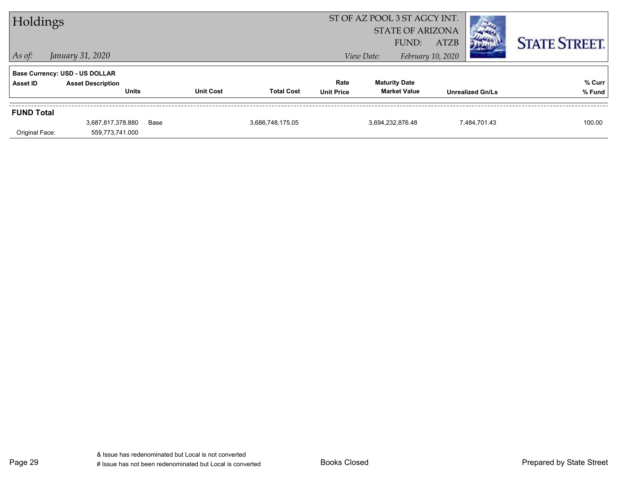| ST OF AZ POOL 3 ST AGCY INT.<br>Holdings |                                          |      |                  |                   |                           | <b>STATE OF ARIZONA</b><br>FUND:<br><b>ATZB</b> |                   | <b>STATE STREET.</b>    |        |
|------------------------------------------|------------------------------------------|------|------------------|-------------------|---------------------------|-------------------------------------------------|-------------------|-------------------------|--------|
| $\vert$ As of:                           | January 31, 2020                         |      |                  |                   |                           | View Date:                                      | February 10, 2020 |                         |        |
|                                          | <b>Base Currency: USD - US DOLLAR</b>    |      |                  |                   |                           |                                                 |                   |                         |        |
| <b>Asset ID</b>                          | <b>Asset Description</b><br><b>Units</b> |      | <b>Unit Cost</b> | <b>Total Cost</b> | Rate<br><b>Unit Price</b> | <b>Maturity Date</b><br><b>Market Value</b>     |                   | <b>Unrealized Gn/Ls</b> | % Curr |
|                                          |                                          |      |                  |                   |                           |                                                 |                   |                         | % Fund |
| <b>FUND Total</b>                        |                                          |      |                  |                   |                           |                                                 |                   |                         |        |
|                                          | 3,687,817,378.880                        | Base |                  | 3,686,748,175.05  |                           | 3,694,232,876.48                                |                   | 7,484,701.43            | 100.00 |
| Original Face:                           | 559,773,741.000                          |      |                  |                   |                           |                                                 |                   |                         |        |

Page 29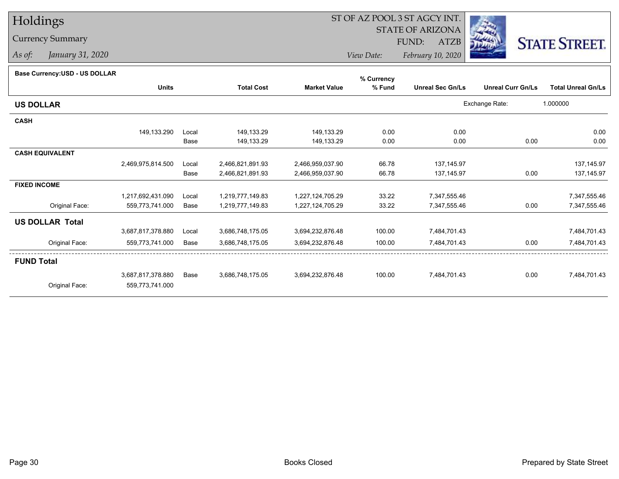# Holdings

### Currency Summary

*As of: January 31, 2020*

## ST OF AZ POOL 3 ST AGCY INT.

STATE OF ARIZONA

FUND: ATZB



*View Date:February 10, 2020*

| Base Currency: USD - US DOLLAR |  |
|--------------------------------|--|
|                                |  |

| <b>Base Currency:USD - US DOLLAR</b> |                   |       |                   |                     | % Currency |                         |                          |                           |
|--------------------------------------|-------------------|-------|-------------------|---------------------|------------|-------------------------|--------------------------|---------------------------|
|                                      | <b>Units</b>      |       | <b>Total Cost</b> | <b>Market Value</b> | % Fund     | <b>Unreal Sec Gn/Ls</b> | <b>Unreal Curr Gn/Ls</b> | <b>Total Unreal Gn/Ls</b> |
| <b>US DOLLAR</b>                     |                   |       |                   |                     |            |                         | Exchange Rate:           | 1.000000                  |
| <b>CASH</b>                          |                   |       |                   |                     |            |                         |                          |                           |
|                                      | 149,133.290       | Local | 149,133.29        | 149,133.29          | 0.00       | 0.00                    |                          | 0.00                      |
|                                      |                   | Base  | 149,133.29        | 149,133.29          | 0.00       | 0.00                    | 0.00                     | 0.00                      |
| <b>CASH EQUIVALENT</b>               |                   |       |                   |                     |            |                         |                          |                           |
|                                      | 2,469,975,814.500 | Local | 2,466,821,891.93  | 2,466,959,037.90    | 66.78      | 137, 145.97             |                          | 137,145.97                |
|                                      |                   | Base  | 2,466,821,891.93  | 2,466,959,037.90    | 66.78      | 137, 145.97             | 0.00                     | 137, 145.97               |
| <b>FIXED INCOME</b>                  |                   |       |                   |                     |            |                         |                          |                           |
|                                      | 1,217,692,431.090 | Local | 1,219,777,149.83  | 1,227,124,705.29    | 33.22      | 7,347,555.46            |                          | 7,347,555.46              |
| Original Face:                       | 559,773,741.000   | Base  | 1,219,777,149.83  | 1,227,124,705.29    | 33.22      | 7,347,555.46            | 0.00                     | 7,347,555.46              |
| <b>US DOLLAR Total</b>               |                   |       |                   |                     |            |                         |                          |                           |
|                                      | 3,687,817,378.880 | Local | 3,686,748,175.05  | 3,694,232,876.48    | 100.00     | 7,484,701.43            |                          | 7,484,701.43              |
| Original Face:                       | 559,773,741.000   | Base  | 3,686,748,175.05  | 3,694,232,876.48    | 100.00     | 7,484,701.43            | 0.00                     | 7,484,701.43              |
| <b>FUND Total</b>                    |                   |       |                   |                     |            |                         |                          |                           |
|                                      | 3,687,817,378.880 | Base  | 3,686,748,175.05  | 3,694,232,876.48    | 100.00     | 7,484,701.43            | 0.00                     | 7,484,701.43              |
| Original Face:                       | 559,773,741.000   |       |                   |                     |            |                         |                          |                           |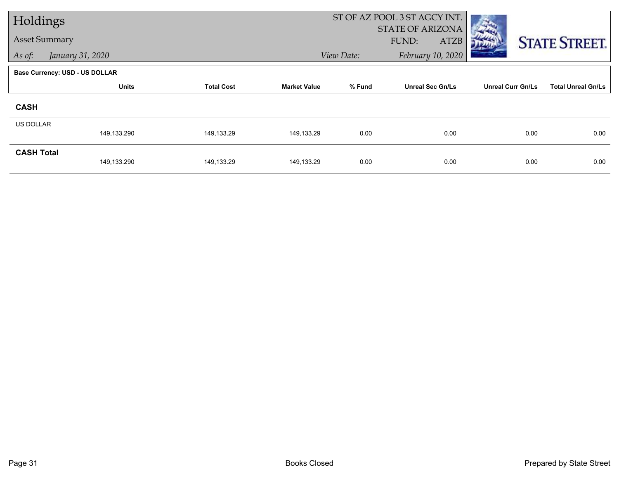| Holdings             |                                |                   |                     |            | ST OF AZ POOL 3 ST AGCY INT. |                          |                           |
|----------------------|--------------------------------|-------------------|---------------------|------------|------------------------------|--------------------------|---------------------------|
|                      |                                |                   |                     |            | STATE OF ARIZONA             |                          |                           |
| <b>Asset Summary</b> |                                |                   |                     |            | FUND:<br>ATZB                |                          | <b>STATE STREET.</b>      |
| As of:               | January 31, 2020               |                   |                     | View Date: | February 10, 2020            |                          |                           |
|                      | Base Currency: USD - US DOLLAR |                   |                     |            |                              |                          |                           |
|                      | <b>Units</b>                   | <b>Total Cost</b> | <b>Market Value</b> | % Fund     | <b>Unreal Sec Gn/Ls</b>      | <b>Unreal Curr Gn/Ls</b> | <b>Total Unreal Gn/Ls</b> |
| <b>CASH</b>          |                                |                   |                     |            |                              |                          |                           |
| <b>US DOLLAR</b>     |                                |                   |                     |            |                              |                          |                           |
|                      | 149,133.290                    | 149,133.29        | 149,133.29          | 0.00       | 0.00                         | 0.00                     | 0.00                      |
| <b>CASH Total</b>    |                                |                   |                     |            |                              |                          |                           |
|                      | 149,133.290                    | 149,133.29        | 149,133.29          | 0.00       | 0.00                         | 0.00                     | 0.00                      |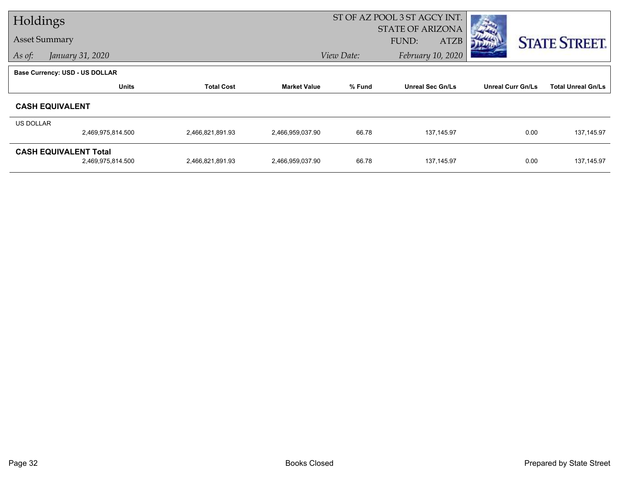| Holdings  |                                       |                   |                     | ST OF AZ POOL 3 ST AGCY INT. |                         |                          |                           |
|-----------|---------------------------------------|-------------------|---------------------|------------------------------|-------------------------|--------------------------|---------------------------|
|           |                                       |                   |                     |                              | STATE OF ARIZONA        |                          |                           |
|           | <b>Asset Summary</b>                  |                   |                     |                              | FUND:<br>ATZB           |                          | <b>STATE STREET.</b>      |
| As of:    | January 31, 2020                      |                   |                     | View Date:                   | February 10, 2020       |                          |                           |
|           | <b>Base Currency: USD - US DOLLAR</b> |                   |                     |                              |                         |                          |                           |
|           | <b>Units</b>                          | <b>Total Cost</b> | <b>Market Value</b> | % Fund                       | <b>Unreal Sec Gn/Ls</b> | <b>Unreal Curr Gn/Ls</b> | <b>Total Unreal Gn/Ls</b> |
|           | <b>CASH EQUIVALENT</b>                |                   |                     |                              |                         |                          |                           |
| US DOLLAR |                                       |                   |                     |                              |                         |                          |                           |
|           | 2,469,975,814.500                     | 2,466,821,891.93  | 2,466,959,037.90    | 66.78                        | 137,145.97              | 0.00                     | 137, 145.97               |
|           | <b>CASH EQUIVALENT Total</b>          |                   |                     |                              |                         |                          |                           |
|           | 2,469,975,814.500                     | 2,466,821,891.93  | 2,466,959,037.90    | 66.78                        | 137,145.97              | 0.00                     | 137, 145.97               |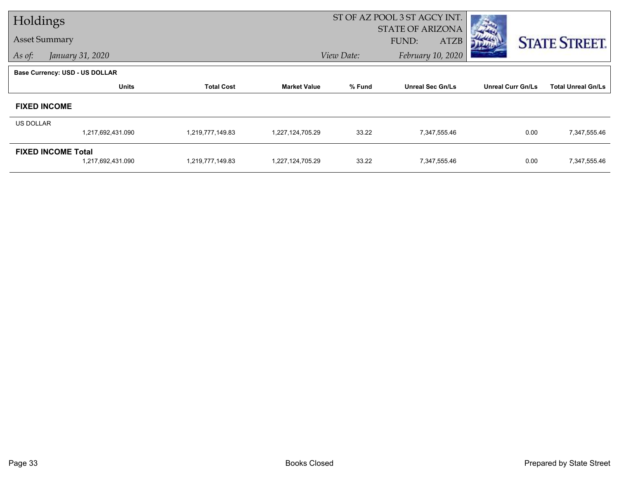| Holdings             |                                |                   |                     | ST OF AZ POOL 3 ST AGCY INT. |                         |                          |                           |
|----------------------|--------------------------------|-------------------|---------------------|------------------------------|-------------------------|--------------------------|---------------------------|
| <b>Asset Summary</b> |                                |                   |                     |                              | <b>STATE OF ARIZONA</b> |                          |                           |
|                      |                                |                   |                     |                              | FUND:<br><b>ATZB</b>    |                          | <b>STATE STREET.</b>      |
| As of:               | January 31, 2020               |                   |                     | View Date:                   | February 10, 2020       |                          |                           |
|                      | Base Currency: USD - US DOLLAR |                   |                     |                              |                         |                          |                           |
|                      | <b>Units</b>                   | <b>Total Cost</b> | <b>Market Value</b> | % Fund                       | <b>Unreal Sec Gn/Ls</b> | <b>Unreal Curr Gn/Ls</b> | <b>Total Unreal Gn/Ls</b> |
| <b>FIXED INCOME</b>  |                                |                   |                     |                              |                         |                          |                           |
| <b>US DOLLAR</b>     |                                |                   |                     |                              |                         |                          |                           |
|                      | 1,217,692,431.090              | 1,219,777,149.83  | 1,227,124,705.29    | 33.22                        | 7,347,555.46            | 0.00                     | 7,347,555.46              |
|                      | <b>FIXED INCOME Total</b>      |                   |                     |                              |                         |                          |                           |
|                      | 1,217,692,431.090              | 1,219,777,149.83  | 1,227,124,705.29    | 33.22                        | 7,347,555.46            | 0.00                     | 7,347,555.46              |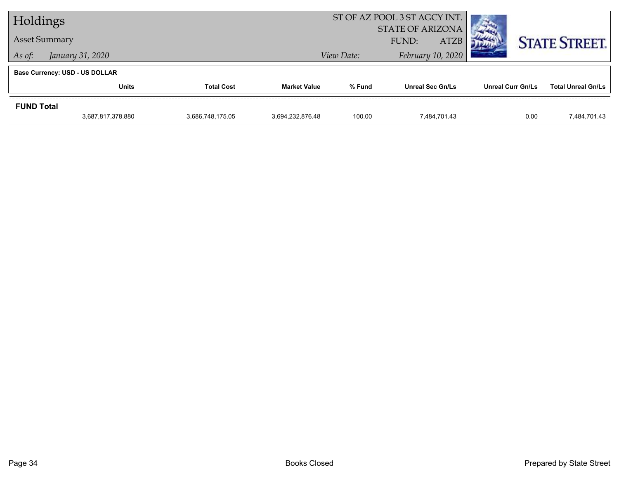| Holdings          |                                       |                   |                     | ST OF AZ POOL 3 ST AGCY INT. |                                                 |                          |                           |  |
|-------------------|---------------------------------------|-------------------|---------------------|------------------------------|-------------------------------------------------|--------------------------|---------------------------|--|
|                   | <b>Asset Summary</b>                  |                   |                     |                              | <b>STATE OF ARIZONA</b><br><b>ATZB</b><br>FUND: |                          | <b>STATE STREET.</b>      |  |
| As of:            | January 31, 2020                      |                   |                     | View Date:                   | February 10, 2020                               |                          |                           |  |
|                   | <b>Base Currency: USD - US DOLLAR</b> |                   |                     |                              |                                                 |                          |                           |  |
|                   | Units                                 | <b>Total Cost</b> | <b>Market Value</b> | % Fund                       | <b>Unreal Sec Gn/Ls</b>                         | <b>Unreal Curr Gn/Ls</b> | <b>Total Unreal Gn/Ls</b> |  |
| <b>FUND Total</b> |                                       |                   |                     |                              |                                                 |                          |                           |  |
|                   | 3,687,817,378.880                     | 3,686,748,175.05  | 3.694.232.876.48    | 100.00                       | 7.484.701.43                                    | 0.00                     | 7.484.701.43              |  |